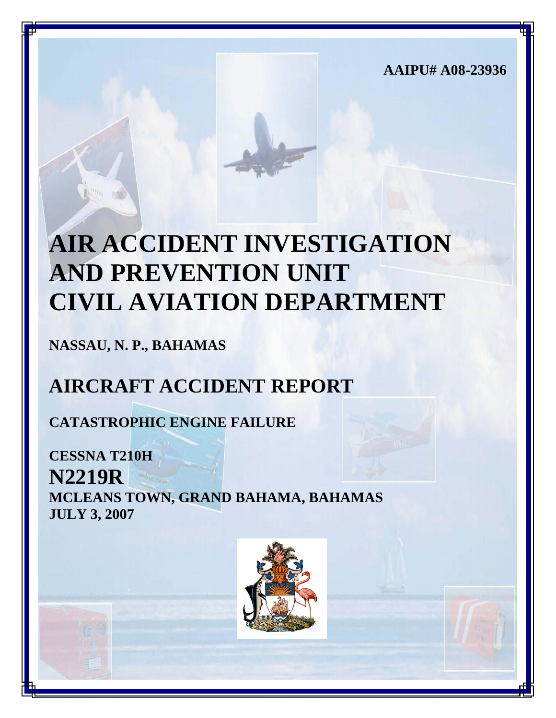**AAIPU# A08-23936**

# **AIR ACCIDENT INVESTIGATION AND PREVENTION UNIT CIVIL AVIATION DEPARTMENT**

**NASSAU, N. P., BAHAMAS**

## **AIRCRAFT ACCIDENT REPORT**

**CATASTROPHIC ENGINE FAILURE**

**CESSNA T210H N2219R MCLEANS TOWN, GRAND BAHAMA, BAHAMAS JULY 3, 2007**

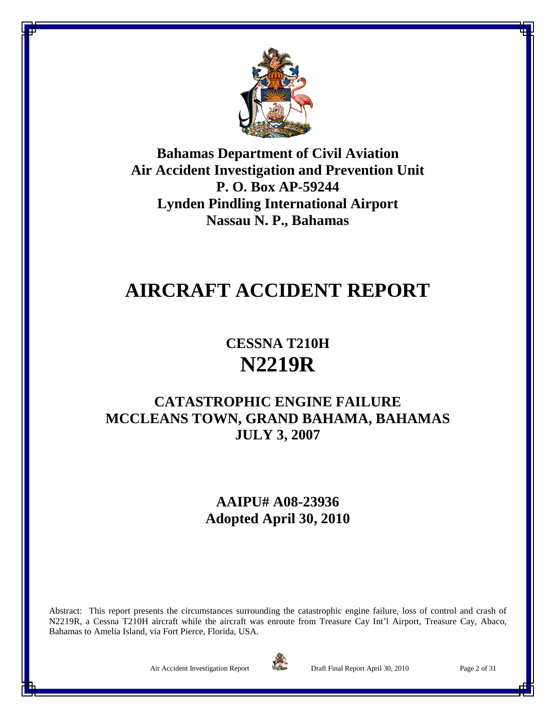

**Bahamas Department of Civil Aviation Air Accident Investigation and Prevention Unit P. O. Box AP-59244 Lynden Pindling International Airport Nassau N. P., Bahamas**

### **AIRCRAFT ACCIDENT REPORT**

**CESSNA T210H N2219R**

### **CATASTROPHIC ENGINE FAILURE MCCLEANS TOWN, GRAND BAHAMA, BAHAMAS JULY 3, 2007**

**AAIPU# A08-23936 Adopted April 30, 2010**

Abstract: This report presents the circumstances surrounding the catastrophic engine failure, loss of control and crash of N2219R, a Cessna T210H aircraft while the aircraft was enroute from Treasure Cay Int'l Airport, Treasure Cay, Abaco, Bahamas to Amelia Island, via Fort Pierce, Florida, USA.



Air Accident Investigation Report Draft Final Report April 30, 2010 Page 2 of 31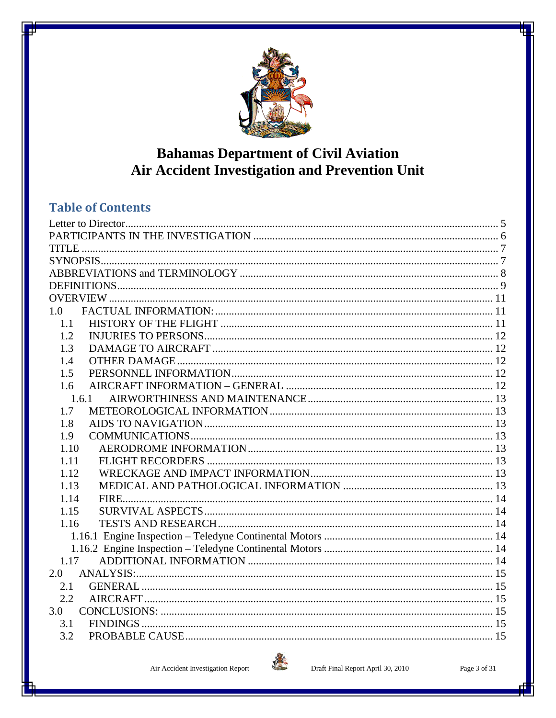

### **Bahamas Department of Civil Aviation Air Accident Investigation and Prevention Unit**

### **Table of Contents**

| 1.0   |  |  |  |  |  |
|-------|--|--|--|--|--|
| 1.1   |  |  |  |  |  |
| 1.2   |  |  |  |  |  |
| 1.3   |  |  |  |  |  |
| 1.4   |  |  |  |  |  |
| 1.5   |  |  |  |  |  |
| 1.6   |  |  |  |  |  |
| 1.6.1 |  |  |  |  |  |
| 1.7   |  |  |  |  |  |
| 1.8   |  |  |  |  |  |
| 1.9   |  |  |  |  |  |
| 1.10  |  |  |  |  |  |
| 1.11  |  |  |  |  |  |
| 1.12  |  |  |  |  |  |
| 1.13  |  |  |  |  |  |
| 1.14  |  |  |  |  |  |
| 1.15  |  |  |  |  |  |
| 1.16  |  |  |  |  |  |
|       |  |  |  |  |  |
|       |  |  |  |  |  |
| 1.17  |  |  |  |  |  |
| 2.0   |  |  |  |  |  |
| 2.1   |  |  |  |  |  |
| 2.2   |  |  |  |  |  |
| 3.0   |  |  |  |  |  |
| 3.1   |  |  |  |  |  |
| 3.2   |  |  |  |  |  |

Air Accident Investigation Report

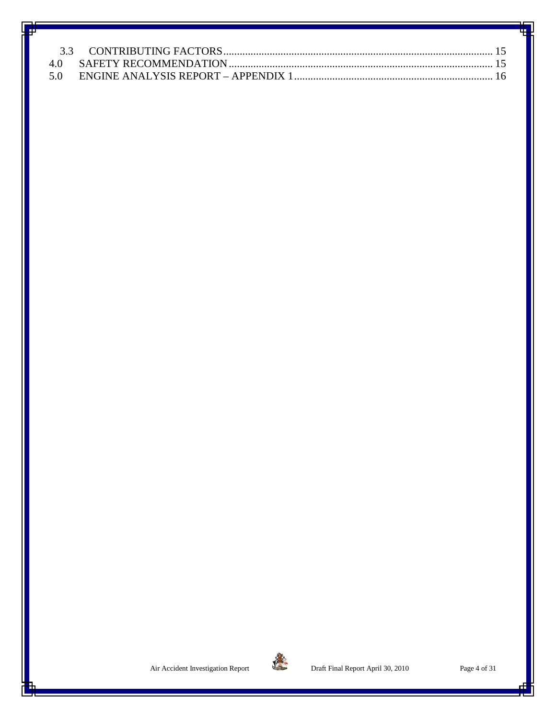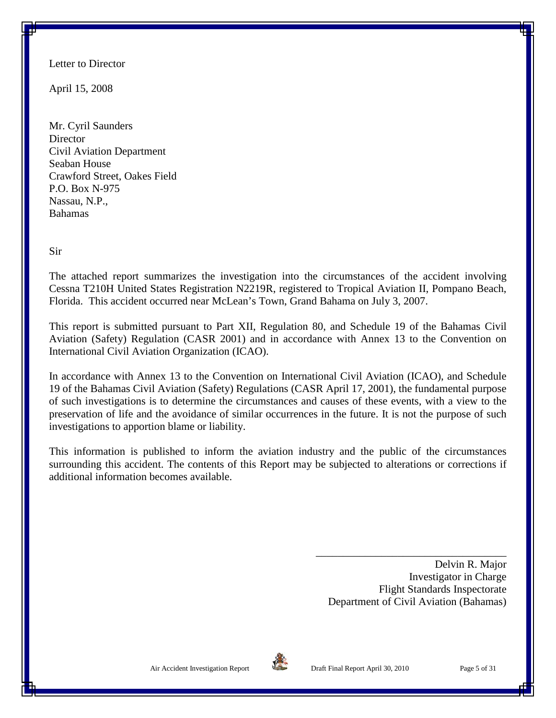<span id="page-4-0"></span>Letter to Director

April 15, 2008

Mr. Cyril Saunders **Director** Civil Aviation Department Seaban House Crawford Street, Oakes Field P.O. Box N-975 Nassau, N.P., Bahamas

Sir

The attached report summarizes the investigation into the circumstances of the accident involving Cessna T210H United States Registration N2219R, registered to Tropical Aviation II, Pompano Beach, Florida. This accident occurred near McLean's Town, Grand Bahama on July 3, 2007.

This report is submitted pursuant to Part XII, Regulation 80, and Schedule 19 of the Bahamas Civil Aviation (Safety) Regulation (CASR 2001) and in accordance with Annex 13 to the Convention on International Civil Aviation Organization (ICAO).

In accordance with Annex 13 to the Convention on International Civil Aviation (ICAO), and Schedule 19 of the Bahamas Civil Aviation (Safety) Regulations (CASR April 17, 2001), the fundamental purpose of such investigations is to determine the circumstances and causes of these events, with a view to the preservation of life and the avoidance of similar occurrences in the future. It is not the purpose of such investigations to apportion blame or liability.

This information is published to inform the aviation industry and the public of the circumstances surrounding this accident. The contents of this Report may be subjected to alterations or corrections if additional information becomes available.

> Delvin R. Major Investigator in Charge Flight Standards Inspectorate Department of Civil Aviation (Bahamas)

\_\_\_\_\_\_\_\_\_\_\_\_\_\_\_\_\_\_\_\_\_\_\_\_\_\_\_\_\_\_\_\_\_\_\_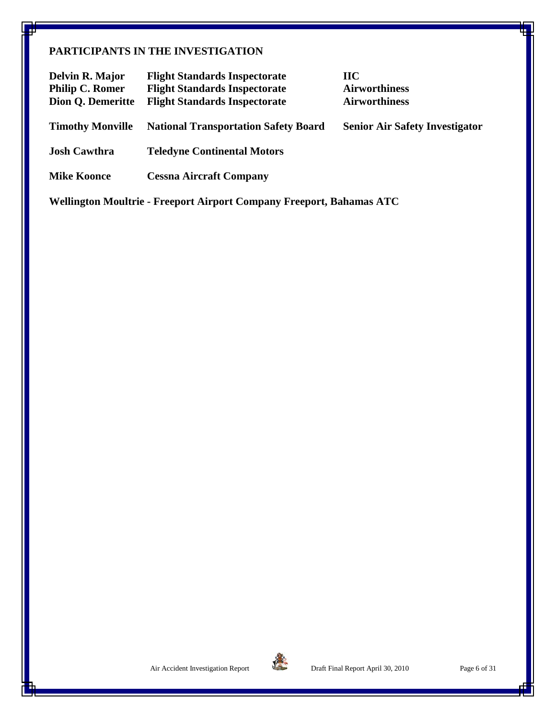#### <span id="page-5-0"></span>**PARTICIPANTS IN THE INVESTIGATION**

| Delvin R. Major<br><b>Philip C. Romer</b><br>Dion Q. Demeritte | <b>Flight Standards Inspectorate</b><br><b>Flight Standards Inspectorate</b><br><b>Flight Standards Inspectorate</b> | $\bf{H}\bf{C}$<br><b>Airworthiness</b><br><b>Airworthiness</b> |
|----------------------------------------------------------------|----------------------------------------------------------------------------------------------------------------------|----------------------------------------------------------------|
| <b>Timothy Monville</b>                                        | <b>National Transportation Safety Board</b>                                                                          | <b>Senior Air Safety Investigator</b>                          |
| <b>Josh Cawthra</b>                                            | <b>Teledyne Continental Motors</b>                                                                                   |                                                                |
| <b>Mike Koonce</b>                                             | <b>Cessna Aircraft Company</b>                                                                                       |                                                                |

**Wellington Moultrie - Freeport Airport Company Freeport, Bahamas ATC**

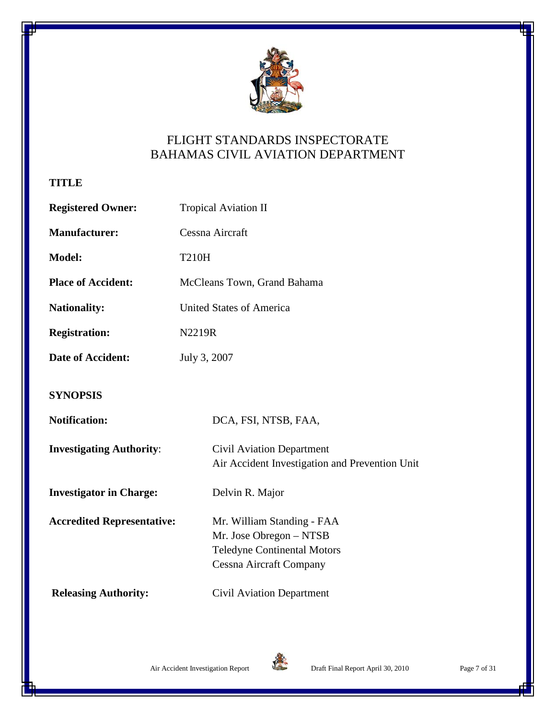

### FLIGHT STANDARDS INSPECTORATE BAHAMAS CIVIL AVIATION DEPARTMENT

<span id="page-6-0"></span>**TITLE**

<span id="page-6-1"></span>

| <b>Registered Owner:</b>          | <b>Tropical Aviation II</b>                                                                                                   |  |  |  |  |
|-----------------------------------|-------------------------------------------------------------------------------------------------------------------------------|--|--|--|--|
| <b>Manufacturer:</b>              | Cessna Aircraft                                                                                                               |  |  |  |  |
| <b>Model:</b>                     | <b>T210H</b>                                                                                                                  |  |  |  |  |
| <b>Place of Accident:</b>         | McCleans Town, Grand Bahama                                                                                                   |  |  |  |  |
| <b>Nationality:</b>               | <b>United States of America</b>                                                                                               |  |  |  |  |
| <b>Registration:</b>              | N2219R                                                                                                                        |  |  |  |  |
| <b>Date of Accident:</b>          | July 3, 2007                                                                                                                  |  |  |  |  |
| <b>SYNOPSIS</b>                   |                                                                                                                               |  |  |  |  |
| <b>Notification:</b>              | DCA, FSI, NTSB, FAA,                                                                                                          |  |  |  |  |
| <b>Investigating Authority:</b>   | <b>Civil Aviation Department</b><br>Air Accident Investigation and Prevention Unit                                            |  |  |  |  |
| <b>Investigator in Charge:</b>    | Delvin R. Major                                                                                                               |  |  |  |  |
| <b>Accredited Representative:</b> | Mr. William Standing - FAA<br>Mr. Jose Obregon - NTSB<br><b>Teledyne Continental Motors</b><br><b>Cessna Aircraft Company</b> |  |  |  |  |
| <b>Releasing Authority:</b>       | Civil Aviation Department                                                                                                     |  |  |  |  |

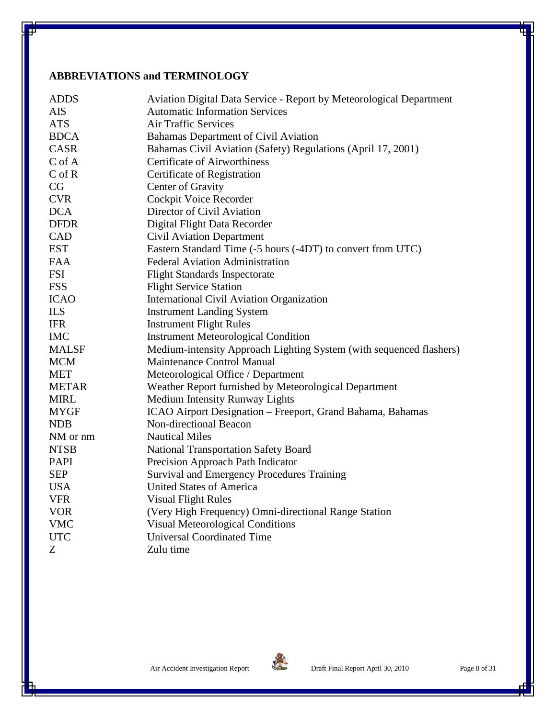#### <span id="page-7-0"></span>**ABBREVIATIONS and TERMINOLOGY**

| <b>ADDS</b>   | Aviation Digital Data Service - Report by Meteorological Department |
|---------------|---------------------------------------------------------------------|
| <b>AIS</b>    | <b>Automatic Information Services</b>                               |
| <b>ATS</b>    | <b>Air Traffic Services</b>                                         |
| <b>BDCA</b>   | Bahamas Department of Civil Aviation                                |
| CASR          | Bahamas Civil Aviation (Safety) Regulations (April 17, 2001)        |
| $C \circ f A$ | <b>Certificate of Airworthiness</b>                                 |
| $C$ of $R$    | Certificate of Registration                                         |
| CG            | Center of Gravity                                                   |
| <b>CVR</b>    | Cockpit Voice Recorder                                              |
| <b>DCA</b>    | Director of Civil Aviation                                          |
| <b>DFDR</b>   | Digital Flight Data Recorder                                        |
| CAD           | <b>Civil Aviation Department</b>                                    |
| <b>EST</b>    | Eastern Standard Time (-5 hours (-4DT) to convert from UTC)         |
| <b>FAA</b>    | <b>Federal Aviation Administration</b>                              |
| <b>FSI</b>    | <b>Flight Standards Inspectorate</b>                                |
| <b>FSS</b>    | <b>Flight Service Station</b>                                       |
| <b>ICAO</b>   | <b>International Civil Aviation Organization</b>                    |
| <b>ILS</b>    | <b>Instrument Landing System</b>                                    |
| <b>IFR</b>    | <b>Instrument Flight Rules</b>                                      |
| <b>IMC</b>    | <b>Instrument Meteorological Condition</b>                          |
| <b>MALSF</b>  | Medium-intensity Approach Lighting System (with sequenced flashers) |
| <b>MCM</b>    | Maintenance Control Manual                                          |
| <b>MET</b>    | Meteorological Office / Department                                  |
| <b>METAR</b>  | Weather Report furnished by Meteorological Department               |
| <b>MIRL</b>   | Medium Intensity Runway Lights                                      |
| <b>MYGF</b>   | ICAO Airport Designation - Freeport, Grand Bahama, Bahamas          |
| <b>NDB</b>    | Non-directional Beacon                                              |
| NM or nm      | <b>Nautical Miles</b>                                               |
| <b>NTSB</b>   | <b>National Transportation Safety Board</b>                         |
| <b>PAPI</b>   | Precision Approach Path Indicator                                   |
| <b>SEP</b>    | <b>Survival and Emergency Procedures Training</b>                   |
| <b>USA</b>    | <b>United States of America</b>                                     |
| <b>VFR</b>    | <b>Visual Flight Rules</b>                                          |
| <b>VOR</b>    | (Very High Frequency) Omni-directional Range Station                |
| <b>VMC</b>    | <b>Visual Meteorological Conditions</b>                             |
| <b>UTC</b>    | <b>Universal Coordinated Time</b>                                   |
| Z             | Zulu time                                                           |
|               |                                                                     |

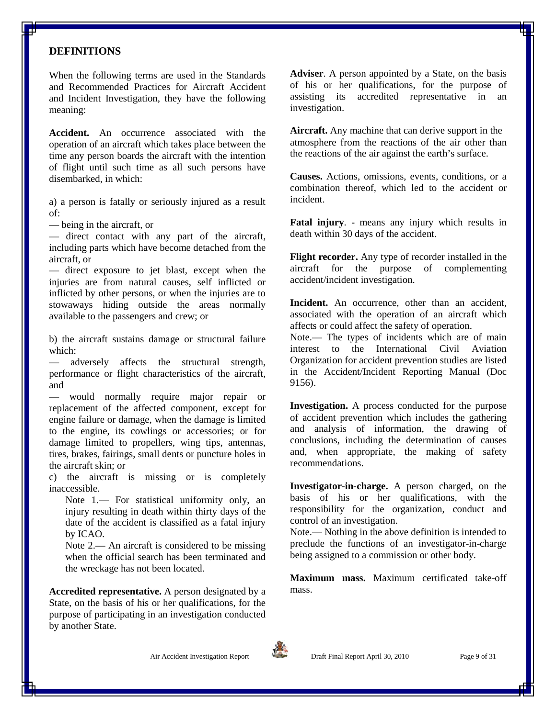#### <span id="page-8-0"></span>**DEFINITIONS**

When the following terms are used in the Standards and Recommended Practices for Aircraft Accident and Incident Investigation, they have the following meaning:

**Accident.** An occurrence associated with the operation of an aircraft which takes place between the time any person boards the aircraft with the intention of flight until such time as all such persons have disembarked, in which:

a) a person is fatally or seriously injured as a result of:

— being in the aircraft, or

— direct contact with any part of the aircraft, including parts which have become detached from the aircraft, or

— direct exposure to jet blast, except when the injuries are from natural causes, self inflicted or inflicted by other persons, or when the injuries are to stowaways hiding outside the areas normally available to the passengers and crew; or

b) the aircraft sustains damage or structural failure which:

— adversely affects the structural strength, performance or flight characteristics of the aircraft, and

— would normally require major repair or replacement of the affected component, except for engine failure or damage, when the damage is limited to the engine, its cowlings or accessories; or for damage limited to propellers, wing tips, antennas, tires, brakes, fairings, small dents or puncture holes in the aircraft skin; or

c) the aircraft is missing or is completely inaccessible.

Note 1.— For statistical uniformity only, an injury resulting in death within thirty days of the date of the accident is classified as a fatal injury by ICAO.

Note 2.— An aircraft is considered to be missing when the official search has been terminated and the wreckage has not been located.

**Accredited representative.** A person designated by a State, on the basis of his or her qualifications, for the purpose of participating in an investigation conducted by another State.

**Adviser**. A person appointed by a State, on the basis of his or her qualifications, for the purpose of assisting its accredited representative in an investigation.

**Aircraft.** Any machine that can derive support in the atmosphere from the reactions of the air other than the reactions of the air against the earth's surface.

**Causes.** Actions, omissions, events, conditions, or a combination thereof, which led to the accident or incident.

**Fatal injury**. - means any injury which results in death within 30 days of the accident.

**Flight recorder.** Any type of recorder installed in the aircraft for the purpose of complementing accident/incident investigation.

Incident. An occurrence, other than an accident, associated with the operation of an aircraft which affects or could affect the safety of operation.

Note.— The types of incidents which are of main interest to the International Civil Aviation Organization for accident prevention studies are listed in the Accident/Incident Reporting Manual (Doc 9156).

**Investigation.** A process conducted for the purpose of accident prevention which includes the gathering and analysis of information, the drawing of conclusions, including the determination of causes and, when appropriate, the making of safety recommendations.

**Investigator-in-charge.** A person charged, on the basis of his or her qualifications, with the responsibility for the organization, conduct and control of an investigation.

Note.— Nothing in the above definition is intended to preclude the functions of an investigator-in-charge being assigned to a commission or other body.

**Maximum mass.** Maximum certificated take-off mass.





Air Accident Investigation Report **Draft Final Report April 30, 2010** Page 9 of 31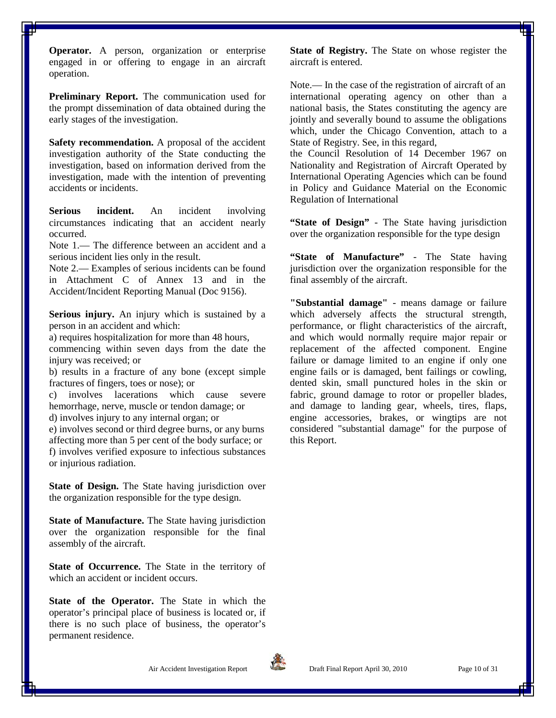**Operator.** A person, organization or enterprise engaged in or offering to engage in an aircraft operation.

**Preliminary Report.** The communication used for the prompt dissemination of data obtained during the early stages of the investigation.

**Safety recommendation.** A proposal of the accident investigation authority of the State conducting the investigation, based on information derived from the investigation, made with the intention of preventing accidents or incidents.

**Serious incident.** An incident involving circumstances indicating that an accident nearly occurred.

Note 1.— The difference between an accident and a serious incident lies only in the result.

Note 2.— Examples of serious incidents can be found in Attachment C of Annex 13 and in the Accident/Incident Reporting Manual (Doc 9156).

**Serious injury.** An injury which is sustained by a person in an accident and which:

a) requires hospitalization for more than 48 hours,

commencing within seven days from the date the injury was received; or

b) results in a fracture of any bone (except simple fractures of fingers, toes or nose); or

c) involves lacerations which cause severe hemorrhage, nerve, muscle or tendon damage; or

d) involves injury to any internal organ; or

e) involves second or third degree burns, or any burns affecting more than 5 per cent of the body surface; or f) involves verified exposure to infectious substances or injurious radiation.

**State of Design.** The State having jurisdiction over the organization responsible for the type design.

**State of Manufacture.** The State having jurisdiction over the organization responsible for the final assembly of the aircraft.

**State of Occurrence.** The State in the territory of which an accident or incident occurs.

**State of the Operator.** The State in which the operator's principal place of business is located or, if there is no such place of business, the operator's permanent residence.

**State of Registry.** The State on whose register the aircraft is entered.

Note.— In the case of the registration of aircraft of an international operating agency on other than a national basis, the States constituting the agency are jointly and severally bound to assume the obligations which, under the Chicago Convention, attach to a State of Registry. See, in this regard,

the Council Resolution of 14 December 1967 on Nationality and Registration of Aircraft Operated by International Operating Agencies which can be found in Policy and Guidance Material on the Economic Regulation of International

**"State of Design"** - The State having jurisdiction over the organization responsible for the type design

**"State of Manufacture"** - The State having jurisdiction over the organization responsible for the final assembly of the aircraft.

**"Substantial damage"** - means damage or failure which adversely affects the structural strength, performance, or flight characteristics of the aircraft, and which would normally require major repair or replacement of the affected component. Engine failure or damage limited to an engine if only one engine fails or is damaged, bent failings or cowling, dented skin, small punctured holes in the skin or fabric, ground damage to rotor or propeller blades, and damage to landing gear, wheels, tires, flaps, engine accessories, brakes, or wingtips are not considered "substantial damage" for the purpose of this Report.

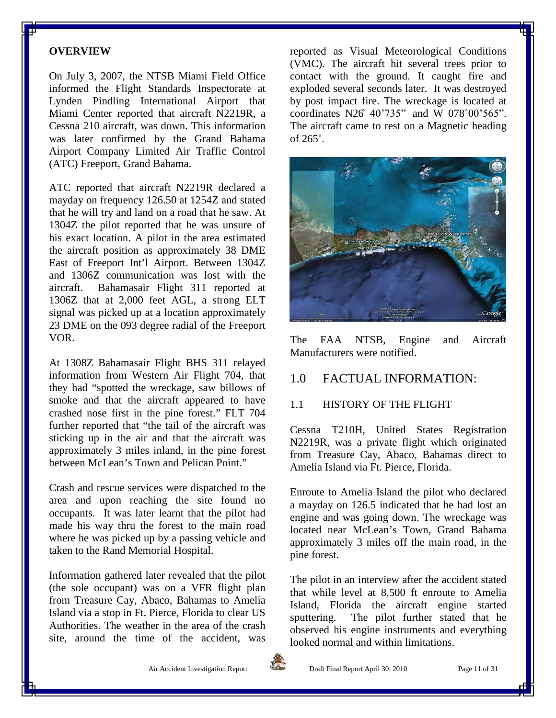#### <span id="page-10-0"></span>**OVERVIEW**

On July 3, 2007, the NTSB Miami Field Office informed the Flight Standards Inspectorate at Lynden Pindling International Airport that Miami Center reported that aircraft N2219R, a Cessna 210 aircraft, was down. This information was later confirmed by the Grand Bahama Airport Company Limited Air Traffic Control (ATC) Freeport, Grand Bahama.

ATC reported that aircraft N2219R declared a mayday on frequency 126.50 at 1254Z and stated that he will try and land on a road that he saw. At 1304Z the pilot reported that he was unsure of his exact location. A pilot in the area estimated the aircraft position as approximately 38 DME East of Freeport Int'l Airport. Between 1304Z and 1306Z communication was lost with the aircraft. Bahamasair Flight 311 reported at 1306Z that at 2,000 feet AGL, a strong ELT signal was picked up at a location approximately 23 DME on the 093 degree radial of the Freeport VOR.

At 1308Z Bahamasair Flight BHS 311 relayed information from Western Air Flight 704, that they had "spotted the wreckage, saw billows of smoke and that the aircraft appeared to have crashed nose first in the pine forest." FLT 704 further reported that "the tail of the aircraft was sticking up in the air and that the aircraft was approximately 3 miles inland, in the pine forest between McLean's Town and Pelican Point."

Crash and rescue services were dispatched to the area and upon reaching the site found no occupants. It was later learnt that the pilot had made his way thru the forest to the main road where he was picked up by a passing vehicle and taken to the Rand Memorial Hospital.

Information gathered later revealed that the pilot (the sole occupant) was on a VFR flight plan from Treasure Cay, Abaco, Bahamas to Amelia Island via a stop in Ft. Pierce, Florida to clear US Authorities. The weather in the area of the crash site, around the time of the accident, was reported as Visual Meteorological Conditions (VMC). The aircraft hit several trees prior to contact with the ground. It caught fire and exploded several seconds later. It was destroyed by post impact fire. The wreckage is located at coordinates N26˚ 40'735" and W 078˚00'565". The aircraft came to rest on a Magnetic heading of 265˚.



The FAA NTSB, Engine and Aircraft Manufacturers were notified.

#### <span id="page-10-1"></span>1.0 FACTUAL INFORMATION:

#### <span id="page-10-2"></span>1.1 HISTORY OF THE FLIGHT

Cessna T210H, United States Registration N2219R, was a private flight which originated from Treasure Cay, Abaco, Bahamas direct to Amelia Island via Ft. Pierce, Florida.

Enroute to Amelia Island the pilot who declared a mayday on 126.5 indicated that he had lost an engine and was going down. The wreckage was located near McLean's Town, Grand Bahama approximately 3 miles off the main road, in the pine forest.

The pilot in an interview after the accident stated that while level at 8,500 ft enroute to Amelia Island, Florida the aircraft engine started sputtering. The pilot further stated that he observed his engine instruments and everything looked normal and within limitations.

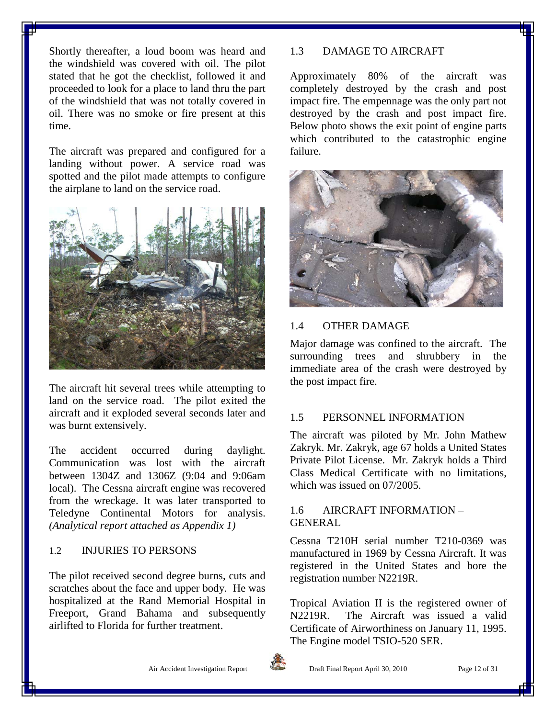Shortly thereafter, a loud boom was heard and the windshield was covered with oil. The pilot stated that he got the checklist, followed it and proceeded to look for a place to land thru the part of the windshield that was not totally covered in oil. There was no smoke or fire present at this time.

The aircraft was prepared and configured for a landing without power. A service road was spotted and the pilot made attempts to configure the airplane to land on the service road.



The aircraft hit several trees while attempting to land on the service road. The pilot exited the aircraft and it exploded several seconds later and was burnt extensively.

The accident occurred during daylight. Communication was lost with the aircraft between 1304Z and 1306Z (9:04 and 9:06am local). The Cessna aircraft engine was recovered from the wreckage. It was later transported to Teledyne Continental Motors for analysis. *(Analytical report attached as Appendix 1)*

#### <span id="page-11-0"></span>1.2 INJURIES TO PERSONS

The pilot received second degree burns, cuts and scratches about the face and upper body. He was hospitalized at the Rand Memorial Hospital in Freeport, Grand Bahama and subsequently airlifted to Florida for further treatment.

#### <span id="page-11-1"></span>1.3 DAMAGE TO AIRCRAFT

Approximately 80% of the aircraft was completely destroyed by the crash and post impact fire. The empennage was the only part not destroyed by the crash and post impact fire. Below photo shows the exit point of engine parts which contributed to the catastrophic engine failure.



#### <span id="page-11-2"></span>1.4 OTHER DAMAGE

Major damage was confined to the aircraft. The surrounding trees and shrubbery in the immediate area of the crash were destroyed by the post impact fire.

#### <span id="page-11-3"></span>1.5 PERSONNEL INFORMATION

The aircraft was piloted by Mr. John Mathew Zakryk. Mr. Zakryk, age 67 holds a United States Private Pilot License. Mr. Zakryk holds a Third Class Medical Certificate with no limitations, which was issued on 07/2005.

#### <span id="page-11-4"></span>1.6 AIRCRAFT INFORMATION – GENERAL

Cessna T210H serial number T210-0369 was manufactured in 1969 by Cessna Aircraft. It was registered in the United States and bore the registration number N2219R.

Tropical Aviation II is the registered owner of<br>N2219R. The Aircraft was issued a valid The Aircraft was issued a valid Certificate of Airworthiness on January 11, 1995. The Engine model TSIO-520 SER.



Air Accident Investigation Report **Draft Final Report April 30, 2010** Page 12 of 31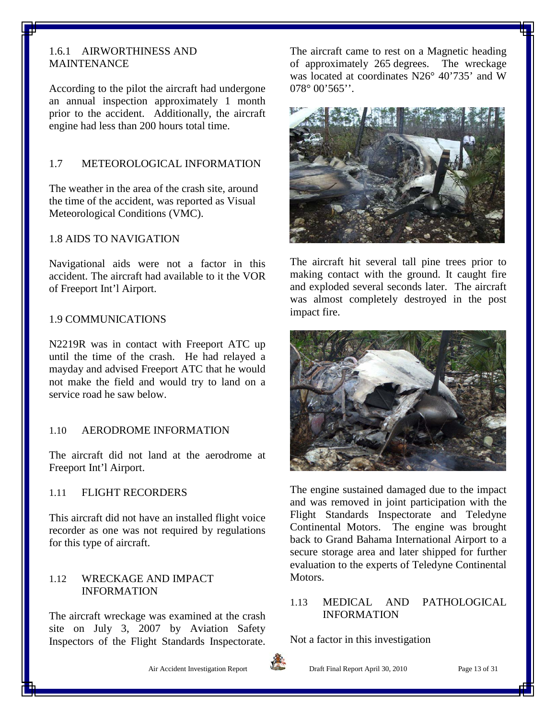#### <span id="page-12-0"></span>1.6.1 AIRWORTHINESS AND MAINTENANCE

According to the pilot the aircraft had undergone an annual inspection approximately 1 month prior to the accident. Additionally, the aircraft engine had less than 200 hours total time.

#### <span id="page-12-1"></span>1.7 METEOROLOGICAL INFORMATION

The weather in the area of the crash site, around the time of the accident, was reported as Visual Meteorological Conditions (VMC).

#### <span id="page-12-2"></span>1.8 AIDS TO NAVIGATION

Navigational aids were not a factor in this accident. The aircraft had available to it the VOR of Freeport Int'l Airport.

#### <span id="page-12-3"></span>1.9 COMMUNICATIONS

N2219R was in contact with Freeport ATC up until the time of the crash. He had relayed a mayday and advised Freeport ATC that he would not make the field and would try to land on a service road he saw below.

#### <span id="page-12-4"></span>1.10 AERODROME INFORMATION

The aircraft did not land at the aerodrome at Freeport Int'l Airport.

#### <span id="page-12-5"></span>1.11 FLIGHT RECORDERS

This aircraft did not have an installed flight voice recorder as one was not required by regulations for this type of aircraft.

#### <span id="page-12-6"></span>1.12 WRECKAGE AND IMPACT INFORMATION

The aircraft wreckage was examined at the crash site on July 3, 2007 by Aviation Safety Inspectors of the Flight Standards Inspectorate. The aircraft came to rest on a Magnetic heading of approximately 265 degrees. The wreckage was located at coordinates N26° 40'735' and W  $078^\circ 00'565'$ 



The aircraft hit several tall pine trees prior to making contact with the ground. It caught fire and exploded several seconds later. The aircraft was almost completely destroyed in the post impact fire.



The engine sustained damaged due to the impact and was removed in joint participation with the Flight Standards Inspectorate and Teledyne Continental Motors. The engine was brought back to Grand Bahama International Airport to a secure storage area and later shipped for further evaluation to the experts of Teledyne Continental Motors.

#### <span id="page-12-7"></span>1.13 MEDICAL AND PATHOLOGICAL INFORMATION

Not a factor in this investigation



Air Accident Investigation Report **Draft Final Report April 30, 2010** Page 13 of 31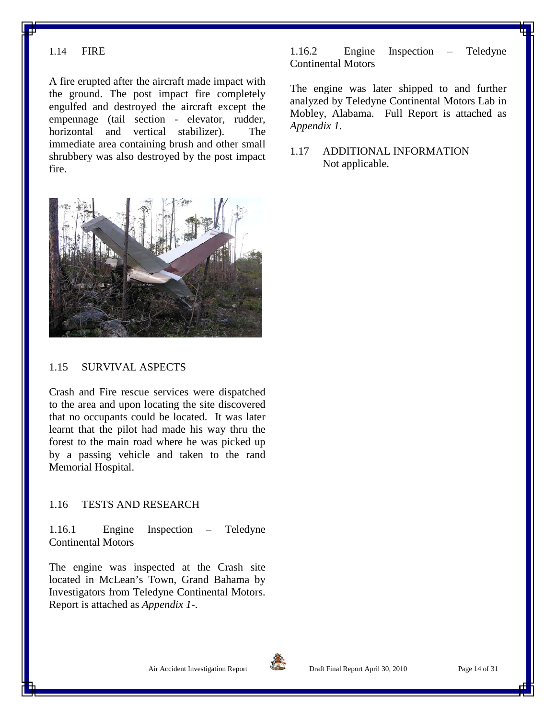#### <span id="page-13-0"></span>1.14 FIRE

A fire erupted after the aircraft made impact with the ground. The post impact fire completely engulfed and destroyed the aircraft except the empennage (tail section - elevator, rudder, horizontal and vertical stabilizer). The immediate area containing brush and other small shrubbery was also destroyed by the post impact fire.



#### <span id="page-13-1"></span>1.15 SURVIVAL ASPECTS

Crash and Fire rescue services were dispatched to the area and upon locating the site discovered that no occupants could be located. It was later learnt that the pilot had made his way thru the forest to the main road where he was picked up by a passing vehicle and taken to the rand Memorial Hospital.

#### <span id="page-13-2"></span>1.16 TESTS AND RESEARCH

<span id="page-13-3"></span>1.16.1 Engine Inspection – Teledyne Continental Motors

The engine was inspected at the Crash site located in McLean's Town, Grand Bahama by Investigators from Teledyne Continental Motors. Report is attached as *Appendix 1-*.

<span id="page-13-4"></span>1.16.2 Engine Inspection – Teledyne Continental Motors

The engine was later shipped to and further analyzed by Teledyne Continental Motors Lab in Mobley, Alabama. Full Report is attached as *Appendix 1*.

<span id="page-13-5"></span>1.17 ADDITIONAL INFORMATION Not applicable.

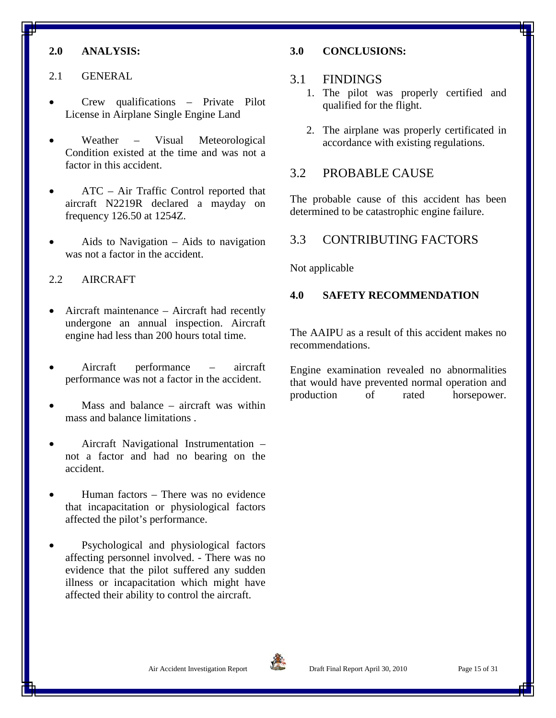#### <span id="page-14-0"></span>**2.0 ANALYSIS:**

- <span id="page-14-1"></span>2.1 GENERAL
- Crew qualifications Private Pilot License in Airplane Single Engine Land
- Weather Visual Meteorological Condition existed at the time and was not a factor in this accident.
- ATC Air Traffic Control reported that aircraft N2219R declared a mayday on frequency 126.50 at 1254Z.
- Aids to Navigation  $-$  Aids to navigation was not a factor in the accident.

#### <span id="page-14-2"></span>2.2 AIRCRAFT

- Aircraft maintenance Aircraft had recently undergone an annual inspection. Aircraft engine had less than 200 hours total time.
- Aircraft performance aircraft performance was not a factor in the accident.
- Mass and balance  $-$  aircraft was within mass and balance limitations .
- Aircraft Navigational Instrumentation not a factor and had no bearing on the accident.
- Human factors There was no evidence that incapacitation or physiological factors affected the pilot's performance.
- Psychological and physiological factors affecting personnel involved. - There was no evidence that the pilot suffered any sudden illness or incapacitation which might have affected their ability to control the aircraft.

#### <span id="page-14-3"></span>**3.0 CONCLUSIONS:**

#### <span id="page-14-4"></span>3.1 FINDINGS

- 1. The pilot was properly certified and qualified for the flight.
- 2. The airplane was properly certificated in accordance with existing regulations.

#### <span id="page-14-5"></span>3.2 PROBABLE CAUSE

The probable cause of this accident has been determined to be catastrophic engine failure.

#### <span id="page-14-6"></span>3.3 CONTRIBUTING FACTORS

Not applicable

#### <span id="page-14-7"></span>**4.0 SAFETY RECOMMENDATION**

The AAIPU as a result of this accident makes no recommendations.

Engine examination revealed no abnormalities that would have prevented normal operation and production of rated horsepower.

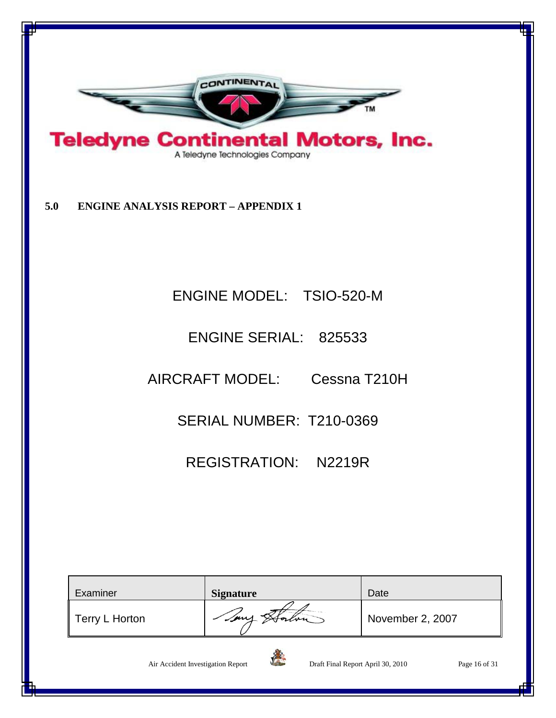

<span id="page-15-0"></span>**5.0 ENGINE ANALYSIS REPORT – APPENDIX 1**

### ENGINE MODEL: TSIO-520-M

### ENGINE SERIAL: 825533

AIRCRAFT MODEL: Cessna T210H

SERIAL NUMBER: T210-0369

REGISTRATION: N2219R

| Examiner                          | <b>Signature</b> |                                   | Date             |               |
|-----------------------------------|------------------|-----------------------------------|------------------|---------------|
| Terry L Horton                    |                  |                                   | November 2, 2007 |               |
| Air Accident Investigation Report |                  | Draft Final Report April 30, 2010 |                  | Page 16 of 31 |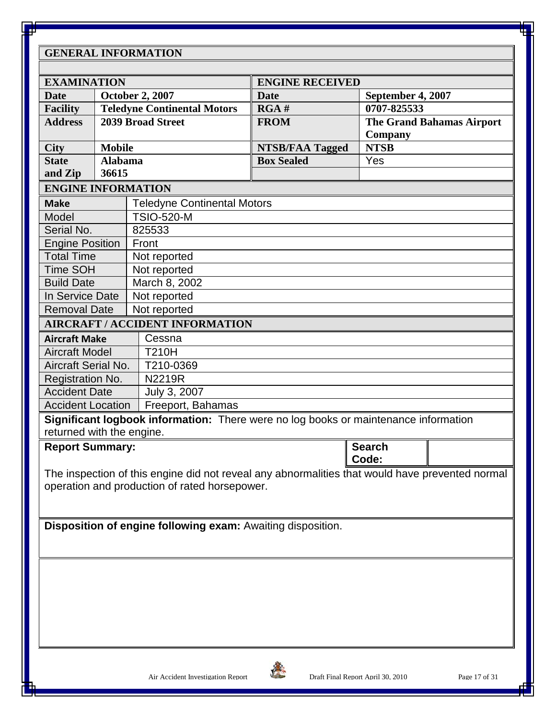#### **GENERAL INFORMATION**

| <b>EXAMINATION</b>                    |                                    |                                                                                     |                        |                                                                                                 |  |  |
|---------------------------------------|------------------------------------|-------------------------------------------------------------------------------------|------------------------|-------------------------------------------------------------------------------------------------|--|--|
| <b>October 2, 2007</b><br><b>Date</b> |                                    |                                                                                     | <b>ENGINE RECEIVED</b> |                                                                                                 |  |  |
|                                       | <b>Teledyne Continental Motors</b> |                                                                                     | <b>Date</b><br>RGA#    | September 4, 2007<br>0707-825533                                                                |  |  |
| <b>Facility</b><br><b>Address</b>     |                                    | <b>2039 Broad Street</b>                                                            | <b>FROM</b>            | <b>The Grand Bahamas Airport</b>                                                                |  |  |
|                                       |                                    |                                                                                     |                        | Company                                                                                         |  |  |
| <b>City</b>                           | <b>Mobile</b>                      |                                                                                     | <b>NTSB/FAA Tagged</b> | <b>NTSB</b>                                                                                     |  |  |
| <b>State</b>                          | <b>Alabama</b>                     |                                                                                     | <b>Box Sealed</b>      | Yes                                                                                             |  |  |
| and Zip                               | 36615                              |                                                                                     |                        |                                                                                                 |  |  |
| <b>ENGINE INFORMATION</b>             |                                    |                                                                                     |                        |                                                                                                 |  |  |
| <b>Make</b>                           |                                    | <b>Teledyne Continental Motors</b>                                                  |                        |                                                                                                 |  |  |
| Model                                 |                                    | <b>TSIO-520-M</b>                                                                   |                        |                                                                                                 |  |  |
| Serial No.                            |                                    | 825533                                                                              |                        |                                                                                                 |  |  |
| <b>Engine Position</b>                |                                    | Front                                                                               |                        |                                                                                                 |  |  |
| <b>Total Time</b>                     |                                    | Not reported                                                                        |                        |                                                                                                 |  |  |
| Time SOH                              |                                    | Not reported                                                                        |                        |                                                                                                 |  |  |
| <b>Build Date</b>                     |                                    | March 8, 2002                                                                       |                        |                                                                                                 |  |  |
| In Service Date                       |                                    | Not reported                                                                        |                        |                                                                                                 |  |  |
| <b>Removal Date</b>                   |                                    | Not reported                                                                        |                        |                                                                                                 |  |  |
|                                       |                                    | <b>AIRCRAFT / ACCIDENT INFORMATION</b>                                              |                        |                                                                                                 |  |  |
| <b>Aircraft Make</b>                  |                                    | Cessna                                                                              |                        |                                                                                                 |  |  |
| <b>Aircraft Model</b>                 |                                    | <b>T210H</b>                                                                        |                        |                                                                                                 |  |  |
| <b>Aircraft Serial No.</b>            |                                    | T210-0369                                                                           |                        |                                                                                                 |  |  |
| Registration No.                      |                                    | N2219R                                                                              |                        |                                                                                                 |  |  |
| <b>Accident Date</b>                  |                                    | July 3, 2007                                                                        |                        |                                                                                                 |  |  |
| <b>Accident Location</b>              |                                    | Freeport, Bahamas                                                                   |                        |                                                                                                 |  |  |
|                                       |                                    | Significant logbook information: There were no log books or maintenance information |                        |                                                                                                 |  |  |
| returned with the engine.             |                                    |                                                                                     |                        |                                                                                                 |  |  |
| <b>Report Summary:</b>                |                                    |                                                                                     |                        | <b>Search</b>                                                                                   |  |  |
|                                       |                                    |                                                                                     |                        | Code:                                                                                           |  |  |
|                                       |                                    |                                                                                     |                        | The inspection of this engine did not reveal any abnormalities that would have prevented normal |  |  |
|                                       |                                    | operation and production of rated horsepower.                                       |                        |                                                                                                 |  |  |
|                                       |                                    |                                                                                     |                        |                                                                                                 |  |  |
|                                       |                                    |                                                                                     |                        |                                                                                                 |  |  |
|                                       |                                    | Disposition of engine following exam: Awaiting disposition.                         |                        |                                                                                                 |  |  |
|                                       |                                    |                                                                                     |                        |                                                                                                 |  |  |
|                                       |                                    |                                                                                     |                        |                                                                                                 |  |  |
|                                       |                                    |                                                                                     |                        |                                                                                                 |  |  |
|                                       |                                    |                                                                                     |                        |                                                                                                 |  |  |
|                                       |                                    |                                                                                     |                        |                                                                                                 |  |  |
|                                       |                                    |                                                                                     |                        |                                                                                                 |  |  |
|                                       |                                    |                                                                                     |                        |                                                                                                 |  |  |
|                                       |                                    |                                                                                     |                        |                                                                                                 |  |  |

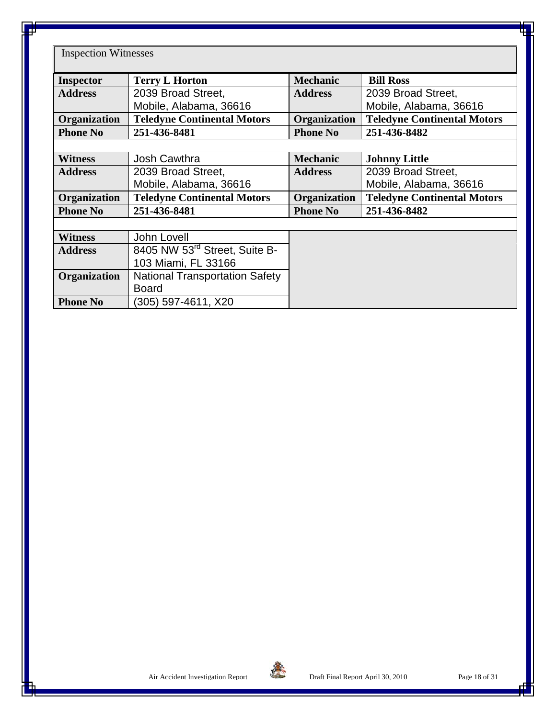Inspection Witnesses

| <b>Inspector</b> | <b>Terry L Horton</b>                     | <b>Mechanic</b> | <b>Bill Ross</b>                   |
|------------------|-------------------------------------------|-----------------|------------------------------------|
| <b>Address</b>   | 2039 Broad Street,                        | <b>Address</b>  | 2039 Broad Street,                 |
|                  | Mobile, Alabama, 36616                    |                 | Mobile, Alabama, 36616             |
| Organization     | <b>Teledyne Continental Motors</b>        | Organization    | <b>Teledyne Continental Motors</b> |
| <b>Phone No</b>  | 251-436-8481                              | <b>Phone No</b> | 251-436-8482                       |
|                  |                                           |                 |                                    |
| <b>Witness</b>   | <b>Josh Cawthra</b>                       | <b>Mechanic</b> | <b>Johnny Little</b>               |
| <b>Address</b>   | 2039 Broad Street,                        | <b>Address</b>  | 2039 Broad Street,                 |
|                  | Mobile, Alabama, 36616                    |                 | Mobile, Alabama, 36616             |
| Organization     | <b>Teledyne Continental Motors</b>        | Organization    | <b>Teledyne Continental Motors</b> |
| <b>Phone No</b>  | 251-436-8481                              | <b>Phone No</b> | 251-436-8482                       |
|                  |                                           |                 |                                    |
| <b>Witness</b>   | <b>John Lovell</b>                        |                 |                                    |
| <b>Address</b>   | 8405 NW 53 <sup>rd</sup> Street, Suite B- |                 |                                    |
|                  | 103 Miami, FL 33166                       |                 |                                    |
| Organization     | <b>National Transportation Safety</b>     |                 |                                    |
|                  | <b>Board</b>                              |                 |                                    |
| <b>Phone No</b>  | (305) 597-4611, X20                       |                 |                                    |

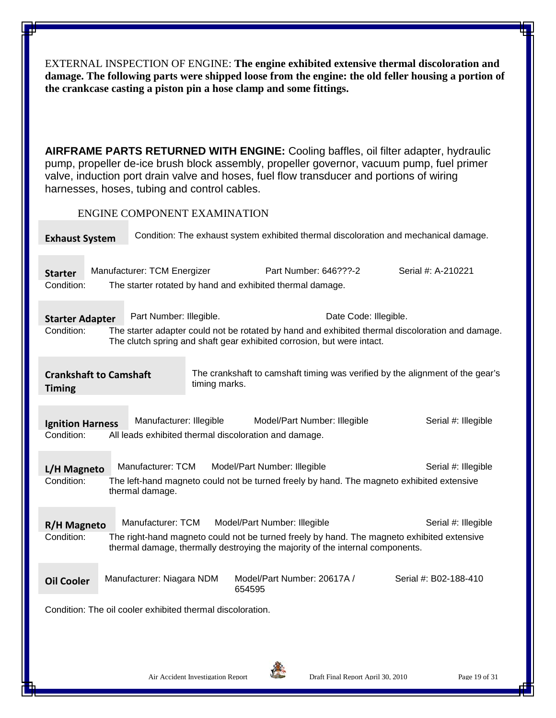EXTERNAL INSPECTION OF ENGINE: **The engine exhibited extensive thermal discoloration and damage. The following parts were shipped loose from the engine: the old feller housing a portion of the crankcase casting a piston pin a hose clamp and some fittings.**

**AIRFRAME PARTS RETURNED WITH ENGINE:** Cooling baffles, oil filter adapter, hydraulic pump, propeller de-ice brush block assembly, propeller governor, vacuum pump, fuel primer valve, induction port drain valve and hoses, fuel flow transducer and portions of wiring harnesses, hoses, tubing and control cables.

ENGINE COMPONENT EXAMINATION

| <b>Exhaust System</b>                                      | Condition: The exhaust system exhibited thermal discoloration and mechanical damage. |               |                                                                                                                                                                                                             |                                                                                                  |  |
|------------------------------------------------------------|--------------------------------------------------------------------------------------|---------------|-------------------------------------------------------------------------------------------------------------------------------------------------------------------------------------------------------------|--------------------------------------------------------------------------------------------------|--|
| <b>Starter</b><br>Condition:                               | Manufacturer: TCM Energizer                                                          |               | Part Number: 646???-2<br>The starter rotated by hand and exhibited thermal damage.                                                                                                                          | Serial #: A-210221                                                                               |  |
| <b>Starter Adapter</b><br>Condition:                       | Part Number: Illegible.                                                              |               | Date Code: Illegible.<br>The clutch spring and shaft gear exhibited corrosion, but were intact.                                                                                                             | The starter adapter could not be rotated by hand and exhibited thermal discoloration and damage. |  |
| <b>Crankshaft to Camshaft</b><br><b>Timing</b>             |                                                                                      | timing marks. |                                                                                                                                                                                                             | The crankshaft to camshaft timing was verified by the alignment of the gear's                    |  |
| <b>Ignition Harness</b><br>Condition:                      | Manufacturer: Illegible<br>All leads exhibited thermal discoloration and damage.     |               | Model/Part Number: Illegible                                                                                                                                                                                | Serial #: Illegible                                                                              |  |
| L/H Magneto<br>Condition:                                  | Manufacturer: TCM<br>thermal damage.                                                 |               | Model/Part Number: Illegible<br>The left-hand magneto could not be turned freely by hand. The magneto exhibited extensive                                                                                   | Serial #: Illegible                                                                              |  |
| R/H Magneto<br>Condition:                                  | Manufacturer: TCM                                                                    |               | Model/Part Number: Illegible<br>The right-hand magneto could not be turned freely by hand. The magneto exhibited extensive<br>thermal damage, thermally destroying the majority of the internal components. | Serial #: Illegible                                                                              |  |
| <b>Oil Cooler</b>                                          | Manufacturer: Niagara NDM                                                            | 654595        | Model/Part Number: 20617A /                                                                                                                                                                                 | Serial #: B02-188-410                                                                            |  |
| Condition: The oil cooler exhibited thermal discoloration. |                                                                                      |               |                                                                                                                                                                                                             |                                                                                                  |  |

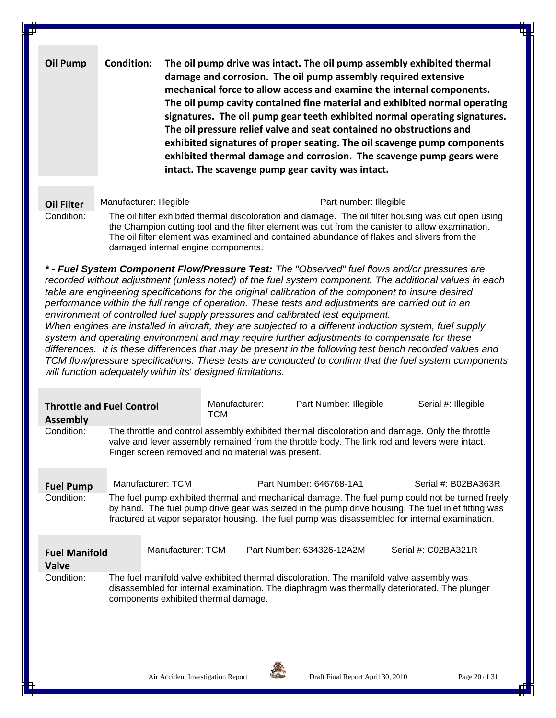**Oil Pump Condition: The oil pump drive was intact. The oil pump assembly exhibited thermal damage and corrosion. The oil pump assembly required extensive mechanical force to allow access and examine the internal components. The oil pump cavity contained fine material and exhibited normal operating signatures. The oil pump gear teeth exhibited normal operating signatures. The oil pressure relief valve and seat contained no obstructions and exhibited signatures of proper seating. The oil scavenge pump components exhibited thermal damage and corrosion. The scavenge pump gears were intact. The scavenge pump gear cavity was intact.**

**Oil Filter** Manufacturer: Illegible Manufacturer: Illegible Part number: Illegible

Condition: The oil filter exhibited thermal discoloration and damage. The oil filter housing was cut open using the Champion cutting tool and the filter element was cut from the canister to allow examination. The oil filter element was examined and contained abundance of flakes and slivers from the damaged internal engine components.

*\* - Fuel System Component Flow/Pressure Test: The "Observed" fuel flows and/or pressures are recorded without adjustment (unless noted) of the fuel system component. The additional values in each table are engineering specifications for the original calibration of the component to insure desired performance within the full range of operation. These tests and adjustments are carried out in an environment of controlled fuel supply pressures and calibrated test equipment. When engines are installed in aircraft, they are subjected to a different induction system, fuel supply* 

*system and operating environment and may require further adjustments to compensate for these differences. It is these differences that may be present in the following test bench recorded values and TCM flow/pressure specifications. These tests are conducted to confirm that the fuel system components will function adequately within its' designed limitations.*

| <b>Throttle and Fuel Control</b><br><b>Assembly</b> |                                                                                                                                                                                                                                                         |                   | Manufacturer:<br><b>TCM</b> |  | Part Number: Illegible    |  |  | Serial #: Illegible                                                                                                                                                                                  |  |
|-----------------------------------------------------|---------------------------------------------------------------------------------------------------------------------------------------------------------------------------------------------------------------------------------------------------------|-------------------|-----------------------------|--|---------------------------|--|--|------------------------------------------------------------------------------------------------------------------------------------------------------------------------------------------------------|--|
| Condition:                                          | The throttle and control assembly exhibited thermal discoloration and damage. Only the throttle<br>valve and lever assembly remained from the throttle body. The link rod and levers were intact.<br>Finger screen removed and no material was present. |                   |                             |  |                           |  |  |                                                                                                                                                                                                      |  |
| <b>Fuel Pump</b><br>Condition:                      |                                                                                                                                                                                                                                                         | Manufacturer: TCM |                             |  | Part Number: 646768-1A1   |  |  | Serial #: B02BA363R<br>The fuel pump exhibited thermal and mechanical damage. The fuel pump could not be turned freely                                                                               |  |
|                                                     |                                                                                                                                                                                                                                                         |                   |                             |  |                           |  |  | by hand. The fuel pump drive gear was seized in the pump drive housing. The fuel inlet fitting was<br>fractured at vapor separator housing. The fuel pump was disassembled for internal examination. |  |
| <b>Fuel Manifold</b><br><b>Valve</b>                |                                                                                                                                                                                                                                                         | Manufacturer: TCM |                             |  | Part Number: 634326-12A2M |  |  | Serial #: C02BA321R                                                                                                                                                                                  |  |
| Condition:                                          | The fuel manifold valve exhibited thermal discoloration. The manifold valve assembly was<br>disassembled for internal examination. The diaphragm was thermally deteriorated. The plunger<br>components exhibited thermal damage.                        |                   |                             |  |                           |  |  |                                                                                                                                                                                                      |  |

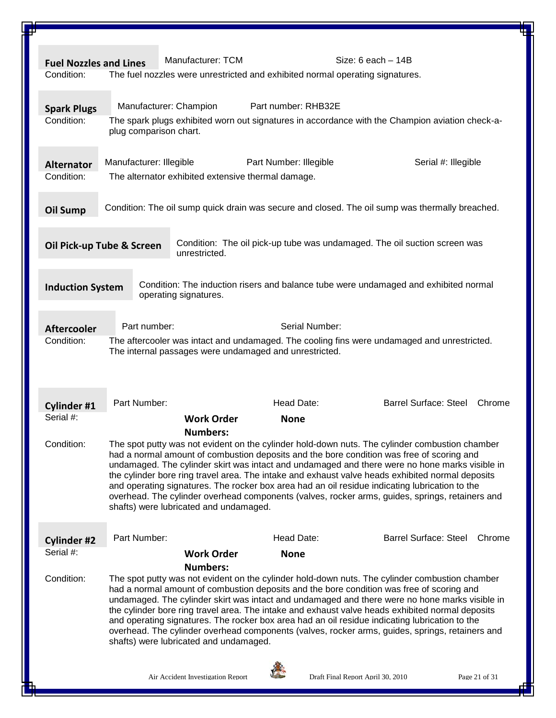| <b>Fuel Nozzles and Lines</b>    |                           | Manufacturer: TCM                                                             |                        | Size: $6$ each $-14B$             |                                                                                                                                                                                                    |               |
|----------------------------------|---------------------------|-------------------------------------------------------------------------------|------------------------|-----------------------------------|----------------------------------------------------------------------------------------------------------------------------------------------------------------------------------------------------|---------------|
| Condition:                       |                           | The fuel nozzles were unrestricted and exhibited normal operating signatures. |                        |                                   |                                                                                                                                                                                                    |               |
|                                  |                           |                                                                               |                        |                                   |                                                                                                                                                                                                    |               |
|                                  |                           | Manufacturer: Champion                                                        | Part number: RHB32E    |                                   |                                                                                                                                                                                                    |               |
| <b>Spark Plugs</b><br>Condition: |                           |                                                                               |                        |                                   | The spark plugs exhibited worn out signatures in accordance with the Champion aviation check-a-                                                                                                    |               |
|                                  | plug comparison chart.    |                                                                               |                        |                                   |                                                                                                                                                                                                    |               |
|                                  |                           |                                                                               |                        |                                   |                                                                                                                                                                                                    |               |
| <b>Alternator</b>                | Manufacturer: Illegible   |                                                                               | Part Number: Illegible |                                   | Serial #: Illegible                                                                                                                                                                                |               |
| Condition:                       |                           | The alternator exhibited extensive thermal damage.                            |                        |                                   |                                                                                                                                                                                                    |               |
|                                  |                           |                                                                               |                        |                                   |                                                                                                                                                                                                    |               |
|                                  |                           |                                                                               |                        |                                   |                                                                                                                                                                                                    |               |
| <b>Oil Sump</b>                  |                           |                                                                               |                        |                                   | Condition: The oil sump quick drain was secure and closed. The oil sump was thermally breached.                                                                                                    |               |
|                                  |                           |                                                                               |                        |                                   |                                                                                                                                                                                                    |               |
|                                  | Oil Pick-up Tube & Screen |                                                                               |                        |                                   | Condition: The oil pick-up tube was undamaged. The oil suction screen was                                                                                                                          |               |
|                                  |                           | unrestricted.                                                                 |                        |                                   |                                                                                                                                                                                                    |               |
|                                  |                           |                                                                               |                        |                                   |                                                                                                                                                                                                    |               |
| <b>Induction System</b>          |                           |                                                                               |                        |                                   | Condition: The induction risers and balance tube were undamaged and exhibited normal                                                                                                               |               |
|                                  |                           | operating signatures.                                                         |                        |                                   |                                                                                                                                                                                                    |               |
|                                  |                           |                                                                               |                        |                                   |                                                                                                                                                                                                    |               |
| <b>Aftercooler</b>               | Part number:              |                                                                               |                        | Serial Number:                    |                                                                                                                                                                                                    |               |
| Condition:                       |                           |                                                                               |                        |                                   | The aftercooler was intact and undamaged. The cooling fins were undamaged and unrestricted.                                                                                                        |               |
|                                  |                           | The internal passages were undamaged and unrestricted.                        |                        |                                   |                                                                                                                                                                                                    |               |
|                                  |                           |                                                                               |                        |                                   |                                                                                                                                                                                                    |               |
|                                  |                           |                                                                               |                        |                                   |                                                                                                                                                                                                    |               |
| Cylinder #1                      | Part Number:              |                                                                               | Head Date:             |                                   | <b>Barrel Surface: Steel</b>                                                                                                                                                                       | Chrome        |
| Serial #:                        |                           | <b>Work Order</b>                                                             | <b>None</b>            |                                   |                                                                                                                                                                                                    |               |
|                                  |                           | <b>Numbers:</b>                                                               |                        |                                   |                                                                                                                                                                                                    |               |
| Condition:                       |                           |                                                                               |                        |                                   | The spot putty was not evident on the cylinder hold-down nuts. The cylinder combustion chamber                                                                                                     |               |
|                                  |                           |                                                                               |                        |                                   | had a normal amount of combustion deposits and the bore condition was free of scoring and                                                                                                          |               |
|                                  |                           |                                                                               |                        |                                   | undamaged. The cylinder skirt was intact and undamaged and there were no hone marks visible in<br>the cylinder bore ring travel area. The intake and exhaust valve heads exhibited normal deposits |               |
|                                  |                           |                                                                               |                        |                                   | and operating signatures. The rocker box area had an oil residue indicating lubrication to the                                                                                                     |               |
|                                  |                           |                                                                               |                        |                                   | overhead. The cylinder overhead components (valves, rocker arms, guides, springs, retainers and                                                                                                    |               |
|                                  |                           | shafts) were lubricated and undamaged.                                        |                        |                                   |                                                                                                                                                                                                    |               |
|                                  |                           |                                                                               |                        |                                   |                                                                                                                                                                                                    |               |
| <b>Cylinder #2</b>               | Part Number:              |                                                                               | Head Date:             |                                   | <b>Barrel Surface: Steel</b>                                                                                                                                                                       | Chrome        |
| Serial #:                        |                           | <b>Work Order</b>                                                             | <b>None</b>            |                                   |                                                                                                                                                                                                    |               |
|                                  |                           | <b>Numbers:</b>                                                               |                        |                                   |                                                                                                                                                                                                    |               |
| Condition:                       |                           |                                                                               |                        |                                   | The spot putty was not evident on the cylinder hold-down nuts. The cylinder combustion chamber                                                                                                     |               |
|                                  |                           |                                                                               |                        |                                   | had a normal amount of combustion deposits and the bore condition was free of scoring and<br>undamaged. The cylinder skirt was intact and undamaged and there were no hone marks visible in        |               |
|                                  |                           |                                                                               |                        |                                   | the cylinder bore ring travel area. The intake and exhaust valve heads exhibited normal deposits                                                                                                   |               |
|                                  |                           |                                                                               |                        |                                   | and operating signatures. The rocker box area had an oil residue indicating lubrication to the                                                                                                     |               |
|                                  |                           |                                                                               |                        |                                   | overhead. The cylinder overhead components (valves, rocker arms, guides, springs, retainers and                                                                                                    |               |
|                                  |                           | shafts) were lubricated and undamaged.                                        |                        |                                   |                                                                                                                                                                                                    |               |
|                                  |                           |                                                                               |                        |                                   |                                                                                                                                                                                                    |               |
|                                  |                           | Air Accident Investigation Report                                             |                        | Draft Final Report April 30, 2010 |                                                                                                                                                                                                    | Page 21 of 31 |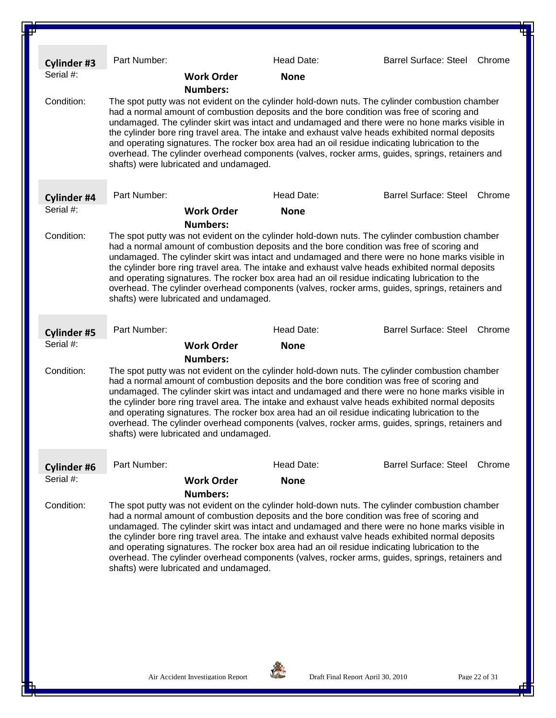| <b>Cylinder #3</b> | Part Number:                                                                                                                                                                                                                                                                                                                                                                                                                                                                                                                                                                                                                                                        | Head Date:                                                                                                                                                                                                                                                                                      | Barrel Surface: Steel<br>Chrome                                                                                                                                                                                                                                                                                                                                                                         |  |  |
|--------------------|---------------------------------------------------------------------------------------------------------------------------------------------------------------------------------------------------------------------------------------------------------------------------------------------------------------------------------------------------------------------------------------------------------------------------------------------------------------------------------------------------------------------------------------------------------------------------------------------------------------------------------------------------------------------|-------------------------------------------------------------------------------------------------------------------------------------------------------------------------------------------------------------------------------------------------------------------------------------------------|---------------------------------------------------------------------------------------------------------------------------------------------------------------------------------------------------------------------------------------------------------------------------------------------------------------------------------------------------------------------------------------------------------|--|--|
| Serial #:          | <b>Work Order</b>                                                                                                                                                                                                                                                                                                                                                                                                                                                                                                                                                                                                                                                   | <b>None</b>                                                                                                                                                                                                                                                                                     |                                                                                                                                                                                                                                                                                                                                                                                                         |  |  |
| Condition:         | <b>Numbers:</b><br>The spot putty was not evident on the cylinder hold-down nuts. The cylinder combustion chamber<br>had a normal amount of combustion deposits and the bore condition was free of scoring and<br>undamaged. The cylinder skirt was intact and undamaged and there were no hone marks visible in<br>the cylinder bore ring travel area. The intake and exhaust valve heads exhibited normal deposits<br>and operating signatures. The rocker box area had an oil residue indicating lubrication to the<br>overhead. The cylinder overhead components (valves, rocker arms, guides, springs, retainers and<br>shafts) were lubricated and undamaged. |                                                                                                                                                                                                                                                                                                 |                                                                                                                                                                                                                                                                                                                                                                                                         |  |  |
| Cylinder #4        | Part Number:                                                                                                                                                                                                                                                                                                                                                                                                                                                                                                                                                                                                                                                        | Head Date:                                                                                                                                                                                                                                                                                      | <b>Barrel Surface: Steel</b><br>Chrome                                                                                                                                                                                                                                                                                                                                                                  |  |  |
| Serial #:          | <b>Work Order</b>                                                                                                                                                                                                                                                                                                                                                                                                                                                                                                                                                                                                                                                   | <b>None</b>                                                                                                                                                                                                                                                                                     |                                                                                                                                                                                                                                                                                                                                                                                                         |  |  |
|                    | <b>Numbers:</b>                                                                                                                                                                                                                                                                                                                                                                                                                                                                                                                                                                                                                                                     |                                                                                                                                                                                                                                                                                                 |                                                                                                                                                                                                                                                                                                                                                                                                         |  |  |
| Condition:         | shafts) were lubricated and undamaged.                                                                                                                                                                                                                                                                                                                                                                                                                                                                                                                                                                                                                              | had a normal amount of combustion deposits and the bore condition was free of scoring and<br>and operating signatures. The rocker box area had an oil residue indicating lubrication to the                                                                                                     | The spot putty was not evident on the cylinder hold-down nuts. The cylinder combustion chamber<br>undamaged. The cylinder skirt was intact and undamaged and there were no hone marks visible in<br>the cylinder bore ring travel area. The intake and exhaust valve heads exhibited normal deposits<br>overhead. The cylinder overhead components (valves, rocker arms, guides, springs, retainers and |  |  |
| <b>Cylinder #5</b> | Part Number:                                                                                                                                                                                                                                                                                                                                                                                                                                                                                                                                                                                                                                                        | Head Date:                                                                                                                                                                                                                                                                                      | <b>Barrel Surface: Steel</b><br>Chrome                                                                                                                                                                                                                                                                                                                                                                  |  |  |
| Serial #:          | <b>Work Order</b>                                                                                                                                                                                                                                                                                                                                                                                                                                                                                                                                                                                                                                                   | <b>None</b>                                                                                                                                                                                                                                                                                     |                                                                                                                                                                                                                                                                                                                                                                                                         |  |  |
|                    | <b>Numbers:</b>                                                                                                                                                                                                                                                                                                                                                                                                                                                                                                                                                                                                                                                     |                                                                                                                                                                                                                                                                                                 |                                                                                                                                                                                                                                                                                                                                                                                                         |  |  |
| Condition:         | shafts) were lubricated and undamaged.                                                                                                                                                                                                                                                                                                                                                                                                                                                                                                                                                                                                                              | had a normal amount of combustion deposits and the bore condition was free of scoring and<br>the cylinder bore ring travel area. The intake and exhaust valve heads exhibited normal deposits<br>and operating signatures. The rocker box area had an oil residue indicating lubrication to the | The spot putty was not evident on the cylinder hold-down nuts. The cylinder combustion chamber<br>undamaged. The cylinder skirt was intact and undamaged and there were no hone marks visible in<br>overhead. The cylinder overhead components (valves, rocker arms, guides, springs, retainers and                                                                                                     |  |  |
| <b>Cylinder #6</b> | Part Number:                                                                                                                                                                                                                                                                                                                                                                                                                                                                                                                                                                                                                                                        | Head Date:                                                                                                                                                                                                                                                                                      | Barrel Surface: Steel Chrome                                                                                                                                                                                                                                                                                                                                                                            |  |  |
| Serial #:          | <b>Work Order</b>                                                                                                                                                                                                                                                                                                                                                                                                                                                                                                                                                                                                                                                   | <b>None</b>                                                                                                                                                                                                                                                                                     |                                                                                                                                                                                                                                                                                                                                                                                                         |  |  |
|                    | <b>Numbers:</b>                                                                                                                                                                                                                                                                                                                                                                                                                                                                                                                                                                                                                                                     |                                                                                                                                                                                                                                                                                                 |                                                                                                                                                                                                                                                                                                                                                                                                         |  |  |
| Condition:         | shafts) were lubricated and undamaged.                                                                                                                                                                                                                                                                                                                                                                                                                                                                                                                                                                                                                              | had a normal amount of combustion deposits and the bore condition was free of scoring and<br>and operating signatures. The rocker box area had an oil residue indicating lubrication to the                                                                                                     | The spot putty was not evident on the cylinder hold-down nuts. The cylinder combustion chamber<br>undamaged. The cylinder skirt was intact and undamaged and there were no hone marks visible in<br>the cylinder bore ring travel area. The intake and exhaust valve heads exhibited normal deposits<br>overhead. The cylinder overhead components (valves, rocker arms, guides, springs, retainers and |  |  |

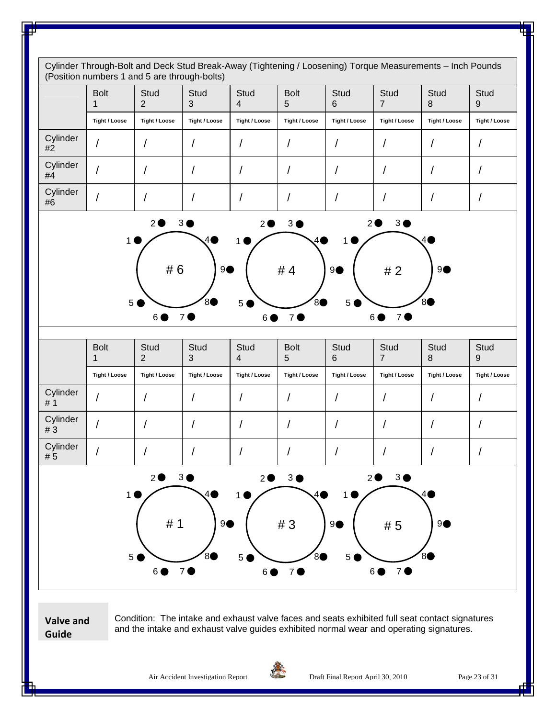Cylinder Through-Bolt and Deck Stud Break-Away (Tightening / Loosening) Torque Measurements – Inch Pounds (Position numbers 1 and 5 are through-bolts) Bolt 1 **Stud**  $\mathfrak{p}$ **Stud** 3 **Stud** 4 Bolt 5 **Stud** 6 **Stud** 7 **Stud** 8 **Stud** 9 **Tight / Loose Tight / Loose Tight / Loose Tight / Loose Tight / Loose Tight / Loose Tight / Loose Tight / Loose Tight / Loose Cylinder** #2 / / / / / / / / / Cylinder<br>#4 Cymruer | / | / | / | / | / | / | / | / | / Cylinder<br>#6 #6 / / / / / / / / / Bolt 1 **Stud** 2 **Stud** 3 **Stud** 4 Bolt 5 **Stud** 6 **Stud** 7 **Stud** 8 **Stud** 9 **Tight / Loose Tight / Loose Tight / Loose Tight / Loose Tight / Loose Tight / Loose Tight / Loose Tight / Loose Tight / Loose** Cylinder<br>#1 # 1 / / / / / / / / / Cylinder<br>#3 <del>Cymruer</del> | / | / | / | / | / | / | / | / | / Cylinder<br>#5 # 5 / / / / / / / / / **Valve and**  Condition: The intake and exhaust valve faces and seats exhibited full seat contact signatures  $2$ <sup>3</sup>  $1 \bullet \nearrow$ 5 6 6 7 0 8 9●  $2$ <sup>3</sub></sup>  $1 \bullet \nearrow$ 5 6 6 7 0 8 9●  $2$ <sup>3</sub></sup>  $1 \bullet \nearrow$ 5 6 7 0 86 # 6 # 4 # 2 <sup>9</sup>  $2$ <sup>3</sub></sup> 1  $\sqrt{4}$ 5 6 6 7 6 80 9●  $2$ <sup>3</sub></sup>  $1 \bullet \nearrow$ 5 6 6 7 0 8 9●  $2$ <sup>3</sub></sup> 1  $\sqrt{4}$ 5 6 6 7 0 8 # 1 | 9● | # 3 | 9● | # 5 | 9

**Guide**

and the intake and exhaust valve guides exhibited normal wear and operating signatures.



Air Accident Investigation Report **Draft Final Report April 30, 2010** Page 23 of 31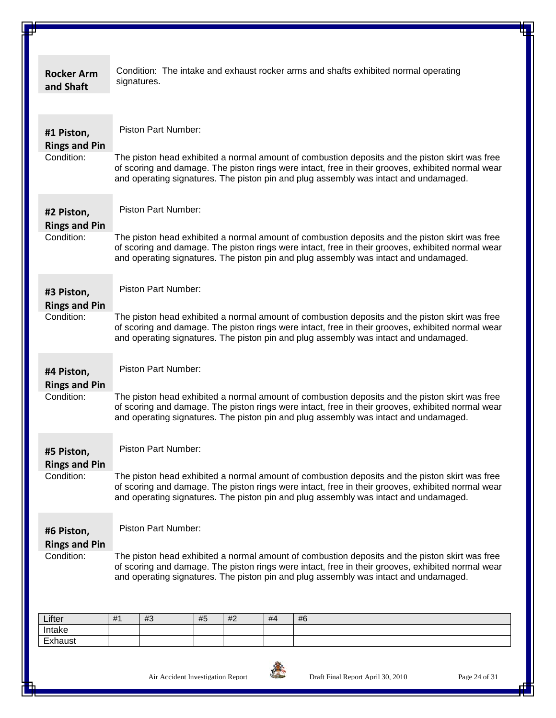| <b>Rocker Arm</b><br>and Shaft     | Condition: The intake and exhaust rocker arms and shafts exhibited normal operating<br>signatures.                                                                                                                                                                                          |  |  |  |  |  |  |  |  |  |
|------------------------------------|---------------------------------------------------------------------------------------------------------------------------------------------------------------------------------------------------------------------------------------------------------------------------------------------|--|--|--|--|--|--|--|--|--|
| #1 Piston,<br><b>Rings and Pin</b> | Piston Part Number:                                                                                                                                                                                                                                                                         |  |  |  |  |  |  |  |  |  |
| Condition:                         | The piston head exhibited a normal amount of combustion deposits and the piston skirt was free<br>of scoring and damage. The piston rings were intact, free in their grooves, exhibited normal wear<br>and operating signatures. The piston pin and plug assembly was intact and undamaged. |  |  |  |  |  |  |  |  |  |
| #2 Piston,<br><b>Rings and Pin</b> | <b>Piston Part Number:</b>                                                                                                                                                                                                                                                                  |  |  |  |  |  |  |  |  |  |
| Condition:                         | The piston head exhibited a normal amount of combustion deposits and the piston skirt was free<br>of scoring and damage. The piston rings were intact, free in their grooves, exhibited normal wear<br>and operating signatures. The piston pin and plug assembly was intact and undamaged. |  |  |  |  |  |  |  |  |  |
| #3 Piston,                         | Piston Part Number:                                                                                                                                                                                                                                                                         |  |  |  |  |  |  |  |  |  |
| <b>Rings and Pin</b>               |                                                                                                                                                                                                                                                                                             |  |  |  |  |  |  |  |  |  |
| Condition:                         | The piston head exhibited a normal amount of combustion deposits and the piston skirt was free<br>of scoring and damage. The piston rings were intact, free in their grooves, exhibited normal wear<br>and operating signatures. The piston pin and plug assembly was intact and undamaged. |  |  |  |  |  |  |  |  |  |
| #4 Piston,<br><b>Rings and Pin</b> | Piston Part Number:                                                                                                                                                                                                                                                                         |  |  |  |  |  |  |  |  |  |
| Condition:                         | The piston head exhibited a normal amount of combustion deposits and the piston skirt was free<br>of scoring and damage. The piston rings were intact, free in their grooves, exhibited normal wear<br>and operating signatures. The piston pin and plug assembly was intact and undamaged. |  |  |  |  |  |  |  |  |  |
| #5 Piston,<br><b>Rings and Pin</b> | Piston Part Number:                                                                                                                                                                                                                                                                         |  |  |  |  |  |  |  |  |  |
| Condition:                         | The piston head exhibited a normal amount of combustion deposits and the piston skirt was free<br>of scoring and damage. The piston rings were intact, free in their grooves, exhibited normal wear<br>and operating signatures. The piston pin and plug assembly was intact and undamaged. |  |  |  |  |  |  |  |  |  |
| #6 Piston,<br><b>Rings and Pin</b> | <b>Piston Part Number:</b>                                                                                                                                                                                                                                                                  |  |  |  |  |  |  |  |  |  |
| Condition:                         | The piston head exhibited a normal amount of combustion deposits and the piston skirt was free<br>of scoring and damage. The piston rings were intact, free in their grooves, exhibited normal wear<br>and operating signatures. The piston pin and plug assembly was intact and undamaged. |  |  |  |  |  |  |  |  |  |
| Lifter                             | #2<br>#1<br>#3<br>#5<br>#4<br>#6                                                                                                                                                                                                                                                            |  |  |  |  |  |  |  |  |  |
| Intake                             |                                                                                                                                                                                                                                                                                             |  |  |  |  |  |  |  |  |  |
| Exhaust                            |                                                                                                                                                                                                                                                                                             |  |  |  |  |  |  |  |  |  |

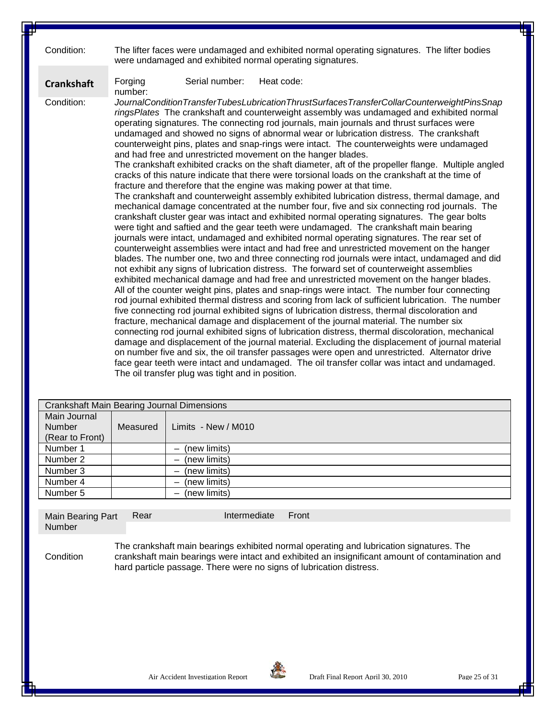| Condition:        | The lifter faces were undamaged and exhibited normal operating signatures. The lifter bodies<br>were undamaged and exhibited normal operating signatures.                                                                                                                                                                                                                                                                                                                                                                                                                                                                                                                                                                                                                                                                                                                                                                                                                                                                                                                                                                                                                                                                                                                                                                                                                                                                                                                                                                                                                                                                                                                                                                                                                                                                                                                                                                                                                                                                                                                                                                                                                                                                                                                                                                                                                                                                                                                                                                                                                 |  |  |  |  |  |  |  |  |
|-------------------|---------------------------------------------------------------------------------------------------------------------------------------------------------------------------------------------------------------------------------------------------------------------------------------------------------------------------------------------------------------------------------------------------------------------------------------------------------------------------------------------------------------------------------------------------------------------------------------------------------------------------------------------------------------------------------------------------------------------------------------------------------------------------------------------------------------------------------------------------------------------------------------------------------------------------------------------------------------------------------------------------------------------------------------------------------------------------------------------------------------------------------------------------------------------------------------------------------------------------------------------------------------------------------------------------------------------------------------------------------------------------------------------------------------------------------------------------------------------------------------------------------------------------------------------------------------------------------------------------------------------------------------------------------------------------------------------------------------------------------------------------------------------------------------------------------------------------------------------------------------------------------------------------------------------------------------------------------------------------------------------------------------------------------------------------------------------------------------------------------------------------------------------------------------------------------------------------------------------------------------------------------------------------------------------------------------------------------------------------------------------------------------------------------------------------------------------------------------------------------------------------------------------------------------------------------------------------|--|--|--|--|--|--|--|--|
| <b>Crankshaft</b> | Serial number:<br>Heat code:<br>Forging<br>number:                                                                                                                                                                                                                                                                                                                                                                                                                                                                                                                                                                                                                                                                                                                                                                                                                                                                                                                                                                                                                                                                                                                                                                                                                                                                                                                                                                                                                                                                                                                                                                                                                                                                                                                                                                                                                                                                                                                                                                                                                                                                                                                                                                                                                                                                                                                                                                                                                                                                                                                        |  |  |  |  |  |  |  |  |
| Condition:        | JournalConditionTransferTubesLubricationThrustSurfacesTransferCollarCounterweightPinsSnap<br>ringsPlates The crankshaft and counterweight assembly was undamaged and exhibited normal<br>operating signatures. The connecting rod journals, main journals and thrust surfaces were<br>undamaged and showed no signs of abnormal wear or lubrication distress. The crankshaft<br>counterweight pins, plates and snap-rings were intact. The counterweights were undamaged<br>and had free and unrestricted movement on the hanger blades.<br>The crankshaft exhibited cracks on the shaft diameter, aft of the propeller flange. Multiple angled<br>cracks of this nature indicate that there were torsional loads on the crankshaft at the time of<br>fracture and therefore that the engine was making power at that time.<br>The crankshaft and counterweight assembly exhibited lubrication distress, thermal damage, and<br>mechanical damage concentrated at the number four, five and six connecting rod journals. The<br>crankshaft cluster gear was intact and exhibited normal operating signatures. The gear bolts<br>were tight and saftied and the gear teeth were undamaged. The crankshaft main bearing<br>journals were intact, undamaged and exhibited normal operating signatures. The rear set of<br>counterweight assemblies were intact and had free and unrestricted movement on the hanger<br>blades. The number one, two and three connecting rod journals were intact, undamaged and did<br>not exhibit any signs of lubrication distress. The forward set of counterweight assemblies<br>exhibited mechanical damage and had free and unrestricted movement on the hanger blades.<br>All of the counter weight pins, plates and snap-rings were intact. The number four connecting<br>rod journal exhibited thermal distress and scoring from lack of sufficient lubrication. The number<br>five connecting rod journal exhibited signs of lubrication distress, thermal discoloration and<br>fracture, mechanical damage and displacement of the journal material. The number six<br>connecting rod journal exhibited signs of lubrication distress, thermal discoloration, mechanical<br>damage and displacement of the journal material. Excluding the displacement of journal material<br>on number five and six, the oil transfer passages were open and unrestricted. Alternator drive<br>face gear teeth were intact and undamaged. The oil transfer collar was intact and undamaged.<br>The oil transfer plug was tight and in position. |  |  |  |  |  |  |  |  |

|                                                  | <b>Crankshaft Main Bearing Journal Dimensions</b> |                                          |  |  |  |  |
|--------------------------------------------------|---------------------------------------------------|------------------------------------------|--|--|--|--|
| Main Journal<br><b>Number</b><br>(Rear to Front) | Measured                                          | Limits - New / M010                      |  |  |  |  |
| Number 1                                         |                                                   | (new limits)                             |  |  |  |  |
| Number 2                                         |                                                   | (new limits)                             |  |  |  |  |
| Number 3                                         |                                                   | (new limits)<br>$\overline{\phantom{0}}$ |  |  |  |  |
| Number 4                                         |                                                   | (new limits)                             |  |  |  |  |
| Number 5                                         |                                                   | (new limits)                             |  |  |  |  |

Main Bearing Part Number Rear Intermediate Front

**Condition** 

The crankshaft main bearings exhibited normal operating and lubrication signatures. The crankshaft main bearings were intact and exhibited an insignificant amount of contamination and hard particle passage. There were no signs of lubrication distress.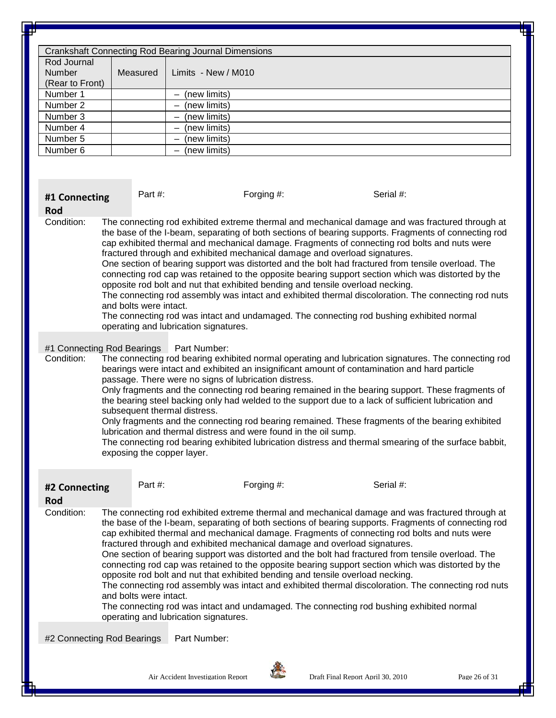|                                                 |          | <b>Crankshaft Connecting Rod Bearing Journal Dimensions</b> |
|-------------------------------------------------|----------|-------------------------------------------------------------|
| Rod Journal<br><b>Number</b><br>(Rear to Front) | Measured | Limits - New / M010                                         |
| Number 1                                        |          | (new limits)                                                |
| Number 2                                        |          | (new limits)                                                |
| Number 3                                        |          | (new limits)<br>-                                           |
| Number 4                                        |          | (new limits)                                                |
| Number 5                                        |          | (new limits)<br>-                                           |
| Number 6                                        |          | (new limits)                                                |

#### **#1 Connecting**

Part #: Forging #: Forging #: Serial #:

#### **Rod**

Condition: The connecting rod exhibited extreme thermal and mechanical damage and was fractured through at the base of the I-beam, separating of both sections of bearing supports. Fragments of connecting rod cap exhibited thermal and mechanical damage. Fragments of connecting rod bolts and nuts were fractured through and exhibited mechanical damage and overload signatures.

> One section of bearing support was distorted and the bolt had fractured from tensile overload. The connecting rod cap was retained to the opposite bearing support section which was distorted by the opposite rod bolt and nut that exhibited bending and tensile overload necking.

The connecting rod assembly was intact and exhibited thermal discoloration. The connecting rod nuts and bolts were intact.

The connecting rod was intact and undamaged. The connecting rod bushing exhibited normal operating and lubrication signatures.

### #1 Connecting Rod Bearings Part Number:<br>Condition: The connecting rod bearing exhi

The connecting rod bearing exhibited normal operating and lubrication signatures. The connecting rod bearings were intact and exhibited an insignificant amount of contamination and hard particle passage. There were no signs of lubrication distress.

> Only fragments and the connecting rod bearing remained in the bearing support. These fragments of the bearing steel backing only had welded to the support due to a lack of sufficient lubrication and subsequent thermal distress.

> Only fragments and the connecting rod bearing remained. These fragments of the bearing exhibited lubrication and thermal distress and were found in the oil sump.

The connecting rod bearing exhibited lubrication distress and thermal smearing of the surface babbit, exposing the copper layer.

| #2 Connecting<br><b>Rod</b> | Part $\#$ :            | Forging #:                                                                                                                                                                                                                                                                                                                                                                                                                                                                                                                                                                                                                                                                                                                                                                                                                                                                                                                      | Serial #: |  |
|-----------------------------|------------------------|---------------------------------------------------------------------------------------------------------------------------------------------------------------------------------------------------------------------------------------------------------------------------------------------------------------------------------------------------------------------------------------------------------------------------------------------------------------------------------------------------------------------------------------------------------------------------------------------------------------------------------------------------------------------------------------------------------------------------------------------------------------------------------------------------------------------------------------------------------------------------------------------------------------------------------|-----------|--|
| Condition:                  | and bolts were intact. | The connecting rod exhibited extreme thermal and mechanical damage and was fractured through at<br>the base of the I-beam, separating of both sections of bearing supports. Fragments of connecting rod<br>cap exhibited thermal and mechanical damage. Fragments of connecting rod bolts and nuts were<br>fractured through and exhibited mechanical damage and overload signatures.<br>One section of bearing support was distorted and the bolt had fractured from tensile overload. The<br>connecting rod cap was retained to the opposite bearing support section which was distorted by the<br>opposite rod bolt and nut that exhibited bending and tensile overload necking.<br>The connecting rod assembly was intact and exhibited thermal discoloration. The connecting rod nuts<br>The connecting rod was intact and undamaged. The connecting rod bushing exhibited normal<br>operating and lubrication signatures. |           |  |
| #2 Connecting Rod Bearings  |                        | Part Number:                                                                                                                                                                                                                                                                                                                                                                                                                                                                                                                                                                                                                                                                                                                                                                                                                                                                                                                    |           |  |

Air Accident Investigation Report **Draft** Final Report April 30, 2010 Page 26 of 31

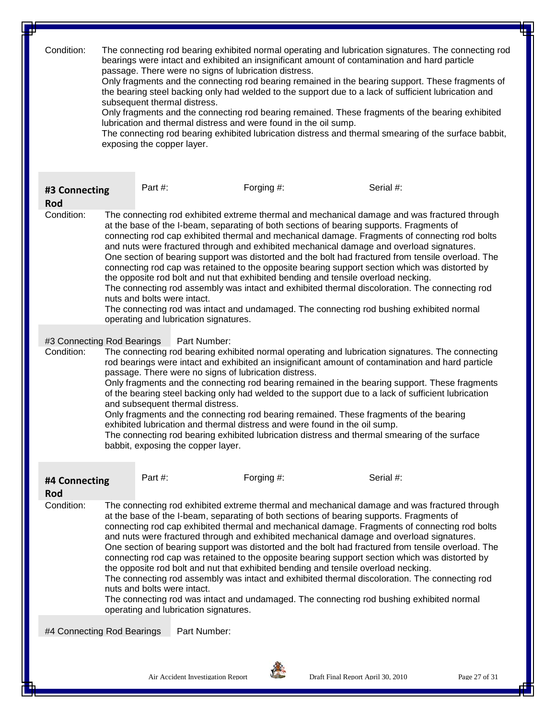| Condition:                 | The connecting rod bearing exhibited normal operating and lubrication signatures. The connecting rod<br>bearings were intact and exhibited an insignificant amount of contamination and hard particle<br>passage. There were no signs of lubrication distress.<br>Only fragments and the connecting rod bearing remained in the bearing support. These fragments of<br>the bearing steel backing only had welded to the support due to a lack of sufficient lubrication and<br>subsequent thermal distress.<br>Only fragments and the connecting rod bearing remained. These fragments of the bearing exhibited<br>lubrication and thermal distress and were found in the oil sump.<br>The connecting rod bearing exhibited lubrication distress and thermal smearing of the surface babbit,<br>exposing the copper layer.                                                                                                                                |                                                                                                                                                                                                                                                                                                                                                                                                                                                                                                                                                                                                                                                                                                                                                                                                                                                                                                                                                           |              |           |  |  |  |  |
|----------------------------|-----------------------------------------------------------------------------------------------------------------------------------------------------------------------------------------------------------------------------------------------------------------------------------------------------------------------------------------------------------------------------------------------------------------------------------------------------------------------------------------------------------------------------------------------------------------------------------------------------------------------------------------------------------------------------------------------------------------------------------------------------------------------------------------------------------------------------------------------------------------------------------------------------------------------------------------------------------|-----------------------------------------------------------------------------------------------------------------------------------------------------------------------------------------------------------------------------------------------------------------------------------------------------------------------------------------------------------------------------------------------------------------------------------------------------------------------------------------------------------------------------------------------------------------------------------------------------------------------------------------------------------------------------------------------------------------------------------------------------------------------------------------------------------------------------------------------------------------------------------------------------------------------------------------------------------|--------------|-----------|--|--|--|--|
| #3 Connecting<br>Rod       |                                                                                                                                                                                                                                                                                                                                                                                                                                                                                                                                                                                                                                                                                                                                                                                                                                                                                                                                                           | Part #:                                                                                                                                                                                                                                                                                                                                                                                                                                                                                                                                                                                                                                                                                                                                                                                                                                                                                                                                                   | Forging #:   | Serial #: |  |  |  |  |
| Condition:                 |                                                                                                                                                                                                                                                                                                                                                                                                                                                                                                                                                                                                                                                                                                                                                                                                                                                                                                                                                           | The connecting rod exhibited extreme thermal and mechanical damage and was fractured through<br>at the base of the I-beam, separating of both sections of bearing supports. Fragments of<br>connecting rod cap exhibited thermal and mechanical damage. Fragments of connecting rod bolts<br>and nuts were fractured through and exhibited mechanical damage and overload signatures.<br>One section of bearing support was distorted and the bolt had fractured from tensile overload. The<br>connecting rod cap was retained to the opposite bearing support section which was distorted by<br>the opposite rod bolt and nut that exhibited bending and tensile overload necking.<br>The connecting rod assembly was intact and exhibited thermal discoloration. The connecting rod<br>nuts and bolts were intact.<br>The connecting rod was intact and undamaged. The connecting rod bushing exhibited normal<br>operating and lubrication signatures. |              |           |  |  |  |  |
| Condition:                 | Part Number:<br>#3 Connecting Rod Bearings<br>The connecting rod bearing exhibited normal operating and lubrication signatures. The connecting<br>rod bearings were intact and exhibited an insignificant amount of contamination and hard particle<br>passage. There were no signs of lubrication distress.<br>Only fragments and the connecting rod bearing remained in the bearing support. These fragments<br>of the bearing steel backing only had welded to the support due to a lack of sufficient lubrication<br>and subsequent thermal distress.<br>Only fragments and the connecting rod bearing remained. These fragments of the bearing<br>exhibited lubrication and thermal distress and were found in the oil sump.<br>The connecting rod bearing exhibited lubrication distress and thermal smearing of the surface<br>babbit, exposing the copper layer.                                                                                  |                                                                                                                                                                                                                                                                                                                                                                                                                                                                                                                                                                                                                                                                                                                                                                                                                                                                                                                                                           |              |           |  |  |  |  |
| #4 Connecting<br>Rod       |                                                                                                                                                                                                                                                                                                                                                                                                                                                                                                                                                                                                                                                                                                                                                                                                                                                                                                                                                           | Part $#$ :                                                                                                                                                                                                                                                                                                                                                                                                                                                                                                                                                                                                                                                                                                                                                                                                                                                                                                                                                | Forging #:   | Serial #: |  |  |  |  |
| Condition:                 | The connecting rod exhibited extreme thermal and mechanical damage and was fractured through<br>at the base of the I-beam, separating of both sections of bearing supports. Fragments of<br>connecting rod cap exhibited thermal and mechanical damage. Fragments of connecting rod bolts<br>and nuts were fractured through and exhibited mechanical damage and overload signatures.<br>One section of bearing support was distorted and the bolt had fractured from tensile overload. The<br>connecting rod cap was retained to the opposite bearing support section which was distorted by<br>the opposite rod bolt and nut that exhibited bending and tensile overload necking.<br>The connecting rod assembly was intact and exhibited thermal discoloration. The connecting rod<br>nuts and bolts were intact.<br>The connecting rod was intact and undamaged. The connecting rod bushing exhibited normal<br>operating and lubrication signatures. |                                                                                                                                                                                                                                                                                                                                                                                                                                                                                                                                                                                                                                                                                                                                                                                                                                                                                                                                                           |              |           |  |  |  |  |
| #4 Connecting Rod Bearings |                                                                                                                                                                                                                                                                                                                                                                                                                                                                                                                                                                                                                                                                                                                                                                                                                                                                                                                                                           |                                                                                                                                                                                                                                                                                                                                                                                                                                                                                                                                                                                                                                                                                                                                                                                                                                                                                                                                                           | Part Number: |           |  |  |  |  |
|                            |                                                                                                                                                                                                                                                                                                                                                                                                                                                                                                                                                                                                                                                                                                                                                                                                                                                                                                                                                           |                                                                                                                                                                                                                                                                                                                                                                                                                                                                                                                                                                                                                                                                                                                                                                                                                                                                                                                                                           |              |           |  |  |  |  |

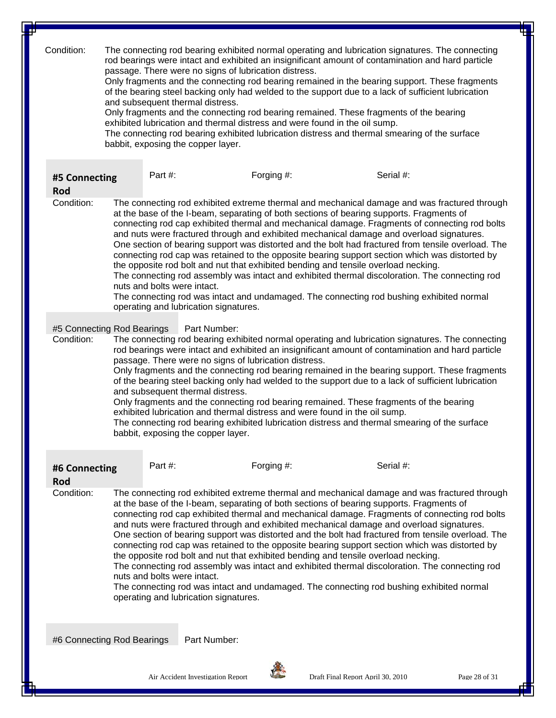Condition: The connecting rod bearing exhibited normal operating and lubrication signatures. The connecting rod bearings were intact and exhibited an insignificant amount of contamination and hard particle passage. There were no signs of lubrication distress.

> Only fragments and the connecting rod bearing remained in the bearing support. These fragments of the bearing steel backing only had welded to the support due to a lack of sufficient lubrication and subsequent thermal distress.

Only fragments and the connecting rod bearing remained. These fragments of the bearing exhibited lubrication and thermal distress and were found in the oil sump.

The connecting rod bearing exhibited lubrication distress and thermal smearing of the surface babbit, exposing the copper layer.

| #5 Connecting<br>Rod                                                         |  | Part $#$ :                                                                                                                                                                                                                                                                                                                                                                                                                                                                                                                                                                                                                                                                                                                                                                                                                                                                                                                                                | Forging $#$ :                                                                                                                                                                                                                                                                                                                                                                        |  | Serial #:                                                                                                                                                                                                                                                                                                                                                                                                      |  |  |  |  |
|------------------------------------------------------------------------------|--|-----------------------------------------------------------------------------------------------------------------------------------------------------------------------------------------------------------------------------------------------------------------------------------------------------------------------------------------------------------------------------------------------------------------------------------------------------------------------------------------------------------------------------------------------------------------------------------------------------------------------------------------------------------------------------------------------------------------------------------------------------------------------------------------------------------------------------------------------------------------------------------------------------------------------------------------------------------|--------------------------------------------------------------------------------------------------------------------------------------------------------------------------------------------------------------------------------------------------------------------------------------------------------------------------------------------------------------------------------------|--|----------------------------------------------------------------------------------------------------------------------------------------------------------------------------------------------------------------------------------------------------------------------------------------------------------------------------------------------------------------------------------------------------------------|--|--|--|--|
| Condition:                                                                   |  | The connecting rod exhibited extreme thermal and mechanical damage and was fractured through<br>at the base of the I-beam, separating of both sections of bearing supports. Fragments of<br>connecting rod cap exhibited thermal and mechanical damage. Fragments of connecting rod bolts<br>and nuts were fractured through and exhibited mechanical damage and overload signatures.<br>One section of bearing support was distorted and the bolt had fractured from tensile overload. The<br>connecting rod cap was retained to the opposite bearing support section which was distorted by<br>the opposite rod bolt and nut that exhibited bending and tensile overload necking.<br>The connecting rod assembly was intact and exhibited thermal discoloration. The connecting rod<br>nuts and bolts were intact.<br>The connecting rod was intact and undamaged. The connecting rod bushing exhibited normal<br>operating and lubrication signatures. |                                                                                                                                                                                                                                                                                                                                                                                      |  |                                                                                                                                                                                                                                                                                                                                                                                                                |  |  |  |  |
| #5 Connecting Rod Bearings<br>Condition:<br>and subsequent thermal distress. |  |                                                                                                                                                                                                                                                                                                                                                                                                                                                                                                                                                                                                                                                                                                                                                                                                                                                                                                                                                           | Part Number:<br>passage. There were no signs of lubrication distress.<br>Only fragments and the connecting rod bearing remained. These fragments of the bearing<br>exhibited lubrication and thermal distress and were found in the oil sump.<br>The connecting rod bearing exhibited lubrication distress and thermal smearing of the surface<br>babbit, exposing the copper layer. |  | The connecting rod bearing exhibited normal operating and lubrication signatures. The connecting<br>rod bearings were intact and exhibited an insignificant amount of contamination and hard particle<br>Only fragments and the connecting rod bearing remained in the bearing support. These fragments<br>of the bearing steel backing only had welded to the support due to a lack of sufficient lubrication |  |  |  |  |

| #6 Connecting<br>Rod       | Part $#$ : | Forging #:                                                                                                                                                                                                                                                                                                                                                                                                                                                                                                                                                                                                                                                                                                                                                                                                                                                                                                                                                | Serial #: |  |
|----------------------------|------------|-----------------------------------------------------------------------------------------------------------------------------------------------------------------------------------------------------------------------------------------------------------------------------------------------------------------------------------------------------------------------------------------------------------------------------------------------------------------------------------------------------------------------------------------------------------------------------------------------------------------------------------------------------------------------------------------------------------------------------------------------------------------------------------------------------------------------------------------------------------------------------------------------------------------------------------------------------------|-----------|--|
| Condition:                 |            | The connecting rod exhibited extreme thermal and mechanical damage and was fractured through<br>at the base of the I-beam, separating of both sections of bearing supports. Fragments of<br>connecting rod cap exhibited thermal and mechanical damage. Fragments of connecting rod bolts<br>and nuts were fractured through and exhibited mechanical damage and overload signatures.<br>One section of bearing support was distorted and the bolt had fractured from tensile overload. The<br>connecting rod cap was retained to the opposite bearing support section which was distorted by<br>the opposite rod bolt and nut that exhibited bending and tensile overload necking.<br>The connecting rod assembly was intact and exhibited thermal discoloration. The connecting rod<br>nuts and bolts were intact.<br>The connecting rod was intact and undamaged. The connecting rod bushing exhibited normal<br>operating and lubrication signatures. |           |  |
| #6 Connecting Rod Bearings |            | Part Number:                                                                                                                                                                                                                                                                                                                                                                                                                                                                                                                                                                                                                                                                                                                                                                                                                                                                                                                                              |           |  |

Air Accident Investigation Report **Draft Final Report April 30, 2010** Page 28 of 31

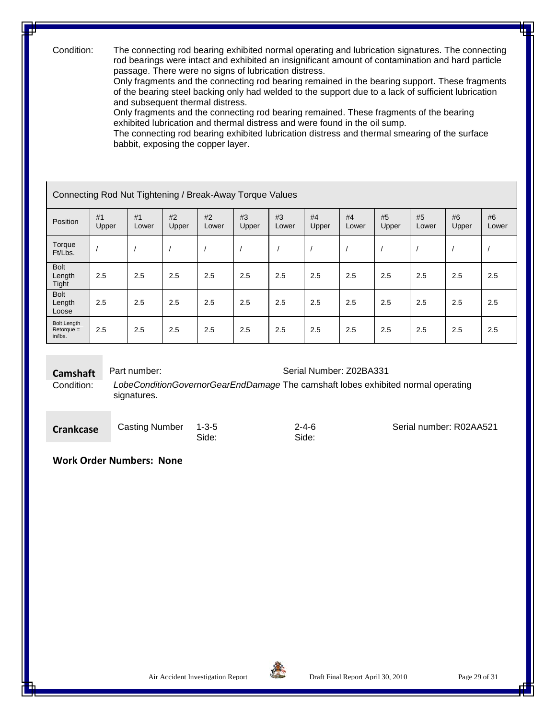Condition: The connecting rod bearing exhibited normal operating and lubrication signatures. The connecting rod bearings were intact and exhibited an insignificant amount of contamination and hard particle passage. There were no signs of lubrication distress.

> Only fragments and the connecting rod bearing remained in the bearing support. These fragments of the bearing steel backing only had welded to the support due to a lack of sufficient lubrication and subsequent thermal distress.

Only fragments and the connecting rod bearing remained. These fragments of the bearing exhibited lubrication and thermal distress and were found in the oil sump.

The connecting rod bearing exhibited lubrication distress and thermal smearing of the surface babbit, exposing the copper layer.

#### Connecting Rod Nut Tightening / Break-Away Torque Values

| Position                                      | #1<br>Upper | #1<br>Lower | #2<br>Upper | #2<br>Lower | #3<br>Upper | #3<br>Lower | #4<br>Upper | #4<br>Lower | #5<br>Upper | #5<br>Lower | #6<br>Upper | #6<br>Lower |
|-----------------------------------------------|-------------|-------------|-------------|-------------|-------------|-------------|-------------|-------------|-------------|-------------|-------------|-------------|
| Torque<br>Ft/Lbs.                             |             |             |             |             |             |             |             |             |             |             |             |             |
| <b>Bolt</b><br>Length<br>Tight                | 2.5         | 2.5         | 2.5         | 2.5         | 2.5         | 2.5         | 2.5         | 2.5         | 2.5         | 2.5         | 2.5         | 2.5         |
| <b>Bolt</b><br>Length<br>Loose                | 2.5         | 2.5         | 2.5         | 2.5         | 2.5         | 2.5         | 2.5         | 2.5         | 2.5         | 2.5         | 2.5         | 2.5         |
| <b>Bolt Length</b><br>$Retorque =$<br>in/lbs. | 2.5         | 2.5         | 2.5         | 2.5         | 2.5         | 2.5         | 2.5         | 2.5         | 2.5         | 2.5         | 2.5         | 2.5         |

**Camshaft** Part number:<br>Condition: LobeConditionGovernorGearEndDamage The camshaft lobes exhibitionGovernorGearEndDamage The camshaft lobes exhibitionGovernorGearEndDamage The camshaft lobes exhibitionGovernorGearEndDamage LobeConditionGovernorGearEndDamage The camshaft lobes exhibited normal operating signatures.

**Casting Number 1-3-5** Side:

#### 2-4-6 Side:

Serial number: R02AA521

#### **Work Order Numbers: None**

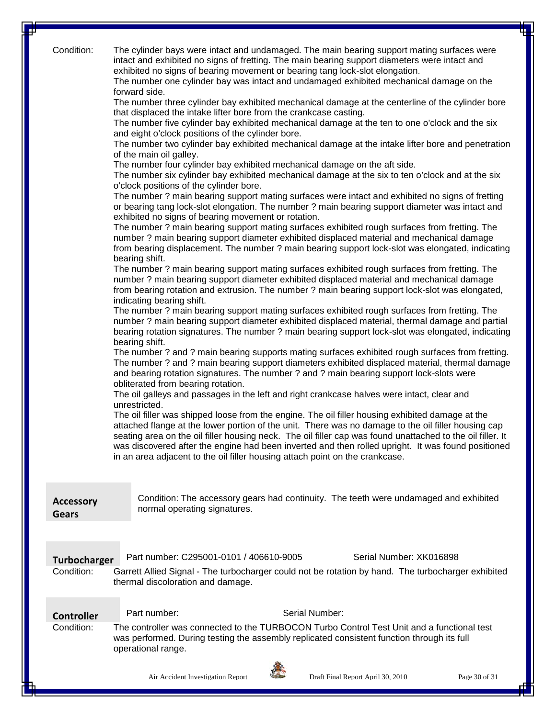| Condition:                 | The cylinder bays were intact and undamaged. The main bearing support mating surfaces were<br>intact and exhibited no signs of fretting. The main bearing support diameters were intact and<br>exhibited no signs of bearing movement or bearing tang lock-slot elongation.<br>The number one cylinder bay was intact and undamaged exhibited mechanical damage on the<br>forward side.<br>The number three cylinder bay exhibited mechanical damage at the centerline of the cylinder bore<br>that displaced the intake lifter bore from the crankcase casting.<br>The number five cylinder bay exhibited mechanical damage at the ten to one o'clock and the six<br>and eight o'clock positions of the cylinder bore.<br>The number two cylinder bay exhibited mechanical damage at the intake lifter bore and penetration<br>of the main oil galley.<br>The number four cylinder bay exhibited mechanical damage on the aft side.<br>The number six cylinder bay exhibited mechanical damage at the six to ten o'clock and at the six<br>o'clock positions of the cylinder bore.<br>The number? main bearing support mating surfaces were intact and exhibited no signs of fretting<br>or bearing tang lock-slot elongation. The number ? main bearing support diameter was intact and<br>exhibited no signs of bearing movement or rotation.<br>The number? main bearing support mating surfaces exhibited rough surfaces from fretting. The<br>number ? main bearing support diameter exhibited displaced material and mechanical damage<br>from bearing displacement. The number? main bearing support lock-slot was elongated, indicating<br>bearing shift.<br>The number? main bearing support mating surfaces exhibited rough surfaces from fretting. The<br>number ? main bearing support diameter exhibited displaced material and mechanical damage<br>from bearing rotation and extrusion. The number ? main bearing support lock-slot was elongated,<br>indicating bearing shift.<br>The number? main bearing support mating surfaces exhibited rough surfaces from fretting. The<br>number? main bearing support diameter exhibited displaced material, thermal damage and partial<br>bearing rotation signatures. The number ? main bearing support lock-slot was elongated, indicating<br>bearing shift.<br>The number? and? main bearing supports mating surfaces exhibited rough surfaces from fretting.<br>The number? and? main bearing support diameters exhibited displaced material, thermal damage<br>and bearing rotation signatures. The number ? and ? main bearing support lock-slots were<br>obliterated from bearing rotation.<br>The oil galleys and passages in the left and right crankcase halves were intact, clear and<br>unrestricted.<br>The oil filler was shipped loose from the engine. The oil filler housing exhibited damage at the<br>attached flange at the lower portion of the unit. There was no damage to the oil filler housing cap<br>seating area on the oil filler housing neck. The oil filler cap was found unattached to the oil filler. It<br>was discovered after the engine had been inverted and then rolled upright. It was found positioned<br>in an area adjacent to the oil filler housing attach point on the crankcase. |
|----------------------------|---------------------------------------------------------------------------------------------------------------------------------------------------------------------------------------------------------------------------------------------------------------------------------------------------------------------------------------------------------------------------------------------------------------------------------------------------------------------------------------------------------------------------------------------------------------------------------------------------------------------------------------------------------------------------------------------------------------------------------------------------------------------------------------------------------------------------------------------------------------------------------------------------------------------------------------------------------------------------------------------------------------------------------------------------------------------------------------------------------------------------------------------------------------------------------------------------------------------------------------------------------------------------------------------------------------------------------------------------------------------------------------------------------------------------------------------------------------------------------------------------------------------------------------------------------------------------------------------------------------------------------------------------------------------------------------------------------------------------------------------------------------------------------------------------------------------------------------------------------------------------------------------------------------------------------------------------------------------------------------------------------------------------------------------------------------------------------------------------------------------------------------------------------------------------------------------------------------------------------------------------------------------------------------------------------------------------------------------------------------------------------------------------------------------------------------------------------------------------------------------------------------------------------------------------------------------------------------------------------------------------------------------------------------------------------------------------------------------------------------------------------------------------------------------------------------------------------------------------------------------------------------------------------------------------------------------------------------------------------------------------------------------------------------------------------------------------------------------------------------------------------------------------------------------------------------------------------------------------------------------------------------------------------------------|
| <b>Accessory</b><br>Gears  | Condition: The accessory gears had continuity. The teeth were undamaged and exhibited<br>normal operating signatures.                                                                                                                                                                                                                                                                                                                                                                                                                                                                                                                                                                                                                                                                                                                                                                                                                                                                                                                                                                                                                                                                                                                                                                                                                                                                                                                                                                                                                                                                                                                                                                                                                                                                                                                                                                                                                                                                                                                                                                                                                                                                                                                                                                                                                                                                                                                                                                                                                                                                                                                                                                                                                                                                                                                                                                                                                                                                                                                                                                                                                                                                                                                                                                       |
|                            |                                                                                                                                                                                                                                                                                                                                                                                                                                                                                                                                                                                                                                                                                                                                                                                                                                                                                                                                                                                                                                                                                                                                                                                                                                                                                                                                                                                                                                                                                                                                                                                                                                                                                                                                                                                                                                                                                                                                                                                                                                                                                                                                                                                                                                                                                                                                                                                                                                                                                                                                                                                                                                                                                                                                                                                                                                                                                                                                                                                                                                                                                                                                                                                                                                                                                             |
| Turbocharger<br>Condition: | Part number: C295001-0101 / 406610-9005<br>Serial Number: XK016898<br>Garrett Allied Signal - The turbocharger could not be rotation by hand. The turbocharger exhibited<br>thermal discoloration and damage.                                                                                                                                                                                                                                                                                                                                                                                                                                                                                                                                                                                                                                                                                                                                                                                                                                                                                                                                                                                                                                                                                                                                                                                                                                                                                                                                                                                                                                                                                                                                                                                                                                                                                                                                                                                                                                                                                                                                                                                                                                                                                                                                                                                                                                                                                                                                                                                                                                                                                                                                                                                                                                                                                                                                                                                                                                                                                                                                                                                                                                                                               |
| <b>Controller</b>          | Serial Number:<br>Part number:                                                                                                                                                                                                                                                                                                                                                                                                                                                                                                                                                                                                                                                                                                                                                                                                                                                                                                                                                                                                                                                                                                                                                                                                                                                                                                                                                                                                                                                                                                                                                                                                                                                                                                                                                                                                                                                                                                                                                                                                                                                                                                                                                                                                                                                                                                                                                                                                                                                                                                                                                                                                                                                                                                                                                                                                                                                                                                                                                                                                                                                                                                                                                                                                                                                              |
| Condition:                 | The controller was connected to the TURBOCON Turbo Control Test Unit and a functional test<br>was performed. During testing the assembly replicated consistent function through its full<br>operational range.                                                                                                                                                                                                                                                                                                                                                                                                                                                                                                                                                                                                                                                                                                                                                                                                                                                                                                                                                                                                                                                                                                                                                                                                                                                                                                                                                                                                                                                                                                                                                                                                                                                                                                                                                                                                                                                                                                                                                                                                                                                                                                                                                                                                                                                                                                                                                                                                                                                                                                                                                                                                                                                                                                                                                                                                                                                                                                                                                                                                                                                                              |
|                            | Air Accident Investigation Report<br>Draft Final Report April 30, 2010<br>Page 30 of 31                                                                                                                                                                                                                                                                                                                                                                                                                                                                                                                                                                                                                                                                                                                                                                                                                                                                                                                                                                                                                                                                                                                                                                                                                                                                                                                                                                                                                                                                                                                                                                                                                                                                                                                                                                                                                                                                                                                                                                                                                                                                                                                                                                                                                                                                                                                                                                                                                                                                                                                                                                                                                                                                                                                                                                                                                                                                                                                                                                                                                                                                                                                                                                                                     |